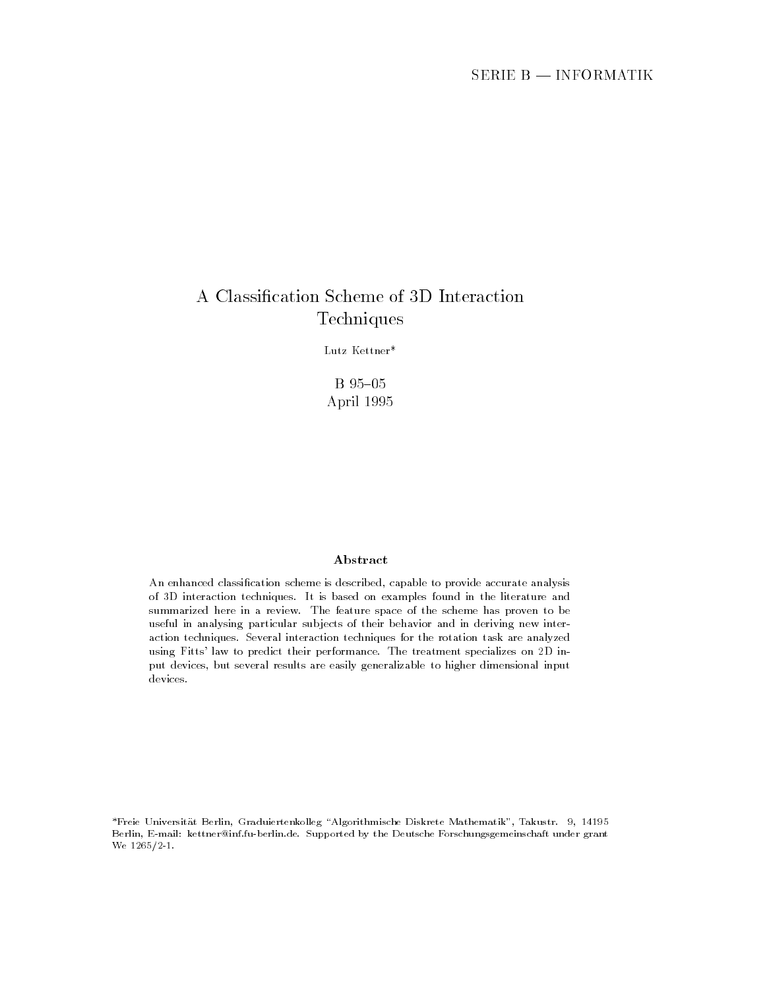# Techniques

Lutz Kettner\*

B 95-05 April

### Abstract

An enhanced classification scheme is described, capable to provide accurate analysis of 3D interaction techniques. It is based on examples found in the literature and summarized here in a review. The feature space of the scheme has proven to be useful in analysing particular subjects of their behavior and in deriving new interaction techniques. Several interaction techniques for the rotation task are analyzed using Fitts' law to predict their performance. The treatment specializes on 2D input devices, but several results are easily generalizable to higher dimensional input devices

Freie Universit-at Berlin Graduiertenkolleg Algorithmische Diskrete Mathematik Takustr Berlin, E-mail: kettner@inf.fu-berlin.de. Supported by the Deutsche Forschungsgemeinschaft under grant  $\cdots$   $\cdots$   $\cdots$   $\cdots$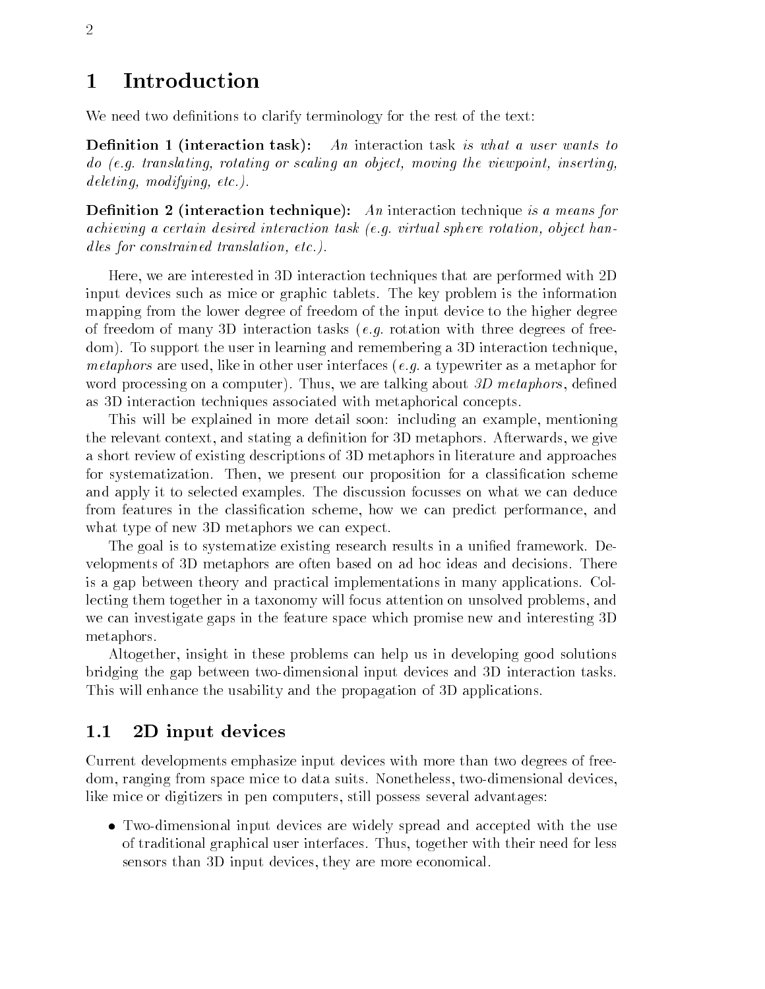#### Introduction  $\mathbf{1}$

We need two definitions to clarify terminology for the rest of the text:

Demntuon 1 (miteraction task). An interaction task is what a user wants to as programsicating rotating or scaling and object moving the viewpoints inserting the viewpoint in  $deleting,~modifying,~etc.).$ 

**Demittion 2** (interaction technique). The interaction technique is a means for achieving a certain desired interaction task -eg virtual sphere rotation object han dles for constrained translation,  $etc.$ ).

Here, we are interested in 3D interaction techniques that are performed with 2D input devices such as mice or graphic tablets
 The key problem is the information mapping from the lower degree of freedom of the input device to the higher degree of freedom of many 3D interaction tasks (e.g. rotation with three degrees of freedom). To support the user in learning and remembering a 3D interaction technique. *metaphors* are used, like in other user interfaces (*e.g.* a typewriter as a metaphor for word processing on a computer). Thus, we are talking about  $3D$  metaphors, defined as D interaction techniques associated with metaphorical concepts

This will be explained in more detail soon including an example mentioning the relevant context, and stating a definition for 3D metaphors. Afterwards, we give a short review of existing descriptions of D metaphors in literature and approaches for systematization. Then, we present our proposition for a classification scheme and apply it to selected examples
 The discussion focusses on what we can deduce from features in the classification scheme, how we can predict performance, and what type of new 3D metaphors we can expect.

The goal is to systematize existing research results in a unified framework. Developments of D metaphors are often based on ad hoc ideas and decisions
 There is a gap between theory and practical implementations in many applications
 Col lecting them together in a taxonomy will focus attention on unsolved problems, and we can investigate gaps in the feature space which promise new and interesting 3D metaphors

Altogether, insight in these problems can help us in developing good solutions bridging the gap between two-dimensional input devices and 3D interaction tasks. This will enhance the usability and the propagation of 3D applications.

#### $1.1$ 2D input devices

Current developments emphasize input devices with more than two degrees of free dom, ranging from space mice to data suits. Nonetheless, two-dimensional devices. like mice or digitizers in pen computers, still possess several advantages:

 $\bullet$  Iwo-dimensional input devices are widely spread and accepted with the use of traditional graphical user interfaces
 Thus together with their need for less sensors than 3D input devices, they are more economical.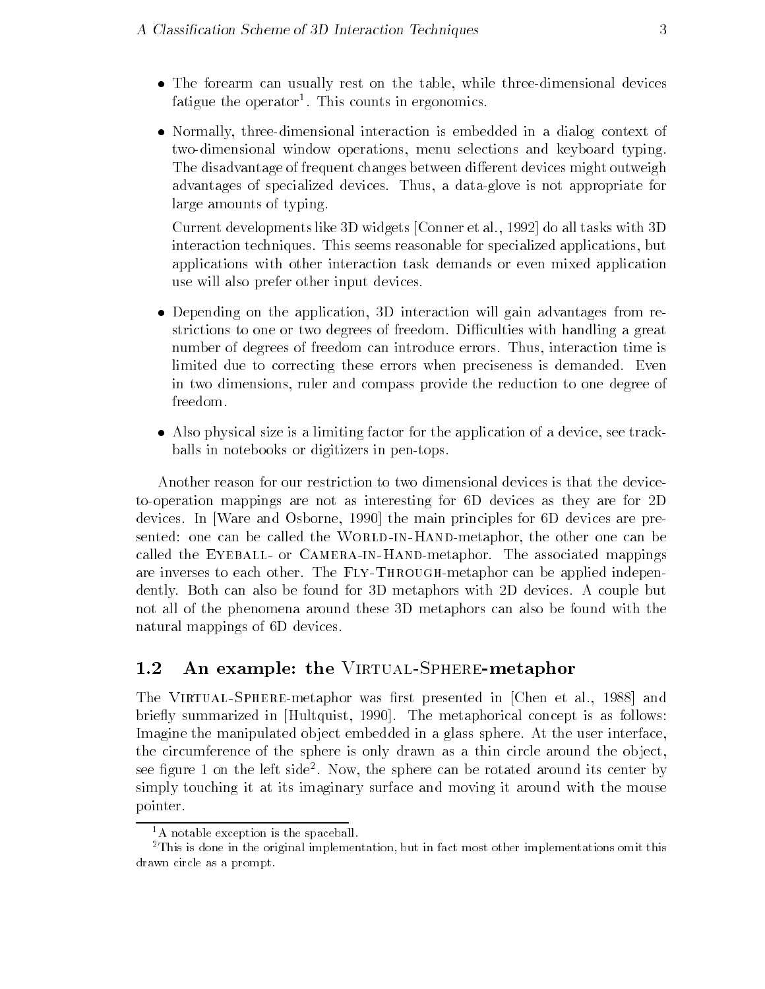- $\bullet$  The forearm can usually rest on the table, while three-dimensional devices ratigue the operator . This counts in ergonomics.
- $\bullet$  Normally, three-dimensional interaction is embedded in a dialog context of two-dimensional window operations, menu selections and keyboard typing. The disadvantage of frequent changes between different devices might outweigh advantages of specialized devices
 Thus a dataglove is not appropriate for large amounts of typing

Current developments like 3D widgets [Conner et al., 1992] do all tasks with  $3D$ interaction techniques. This seems reasonable for specialized applications, but applications with other interaction task demands or even mixed application use will also prefer other input devices

- $\bullet$  Depending on the application, 3D interaction will gain advantages from restrictions to one or two degrees of freedom. Difficulties with handling a great number of degrees of freedom can introduce errors. Thus, interaction time is limited due to correcting these errors when preciseness is demanded. Even in two dimensions, ruler and compass provide the reduction to one degree of freedom.
- Also physical size is a limiting factor for the application of a device see track balls in notebooks or digitizers in pen-tops.

Another reason for our restriction to two dimensional devices is that the device to-operation mappings are not as interesting for 6D devices as they are for 2D devices. In Ware and Osborne, 1990 the main principles for 6D devices are presented one can be called the World-in-Handmetaphor the other one can be called the Eyeball- or Camera-in-Handmetaphor The associated mappings are inverses to each other part of the Fly-roughmetaphor can be applied independent in the applied in dently. Both can also be found for 3D metaphors with 2D devices. A couple but not all of the phenomena around these D metaphors can also be found with the natural mappings of 6D devices.

### An example the Virtual-Spheremetaphor

The Virtual-Spheremetaphor was rst presented in Chen et al
 and briefly summarized in [Hultquist, 1990]. The metaphorical concept is as follows: Imagine the manipulated object embedded in a glass sphere. At the user interface, the circumference of the sphere is only drawn as a thin circle around the object, see ligure 1 on the left side . Now, the sphere can be rotated around its center by simply touching it at its imaginary surface and moving it around with the mouse pointer. pointer

 ${}^{1}$ A notable exception is the spaceball.

<sup>-</sup>This is done in the original implementation but in fact most other implementations omit this drawn circle as a prompt.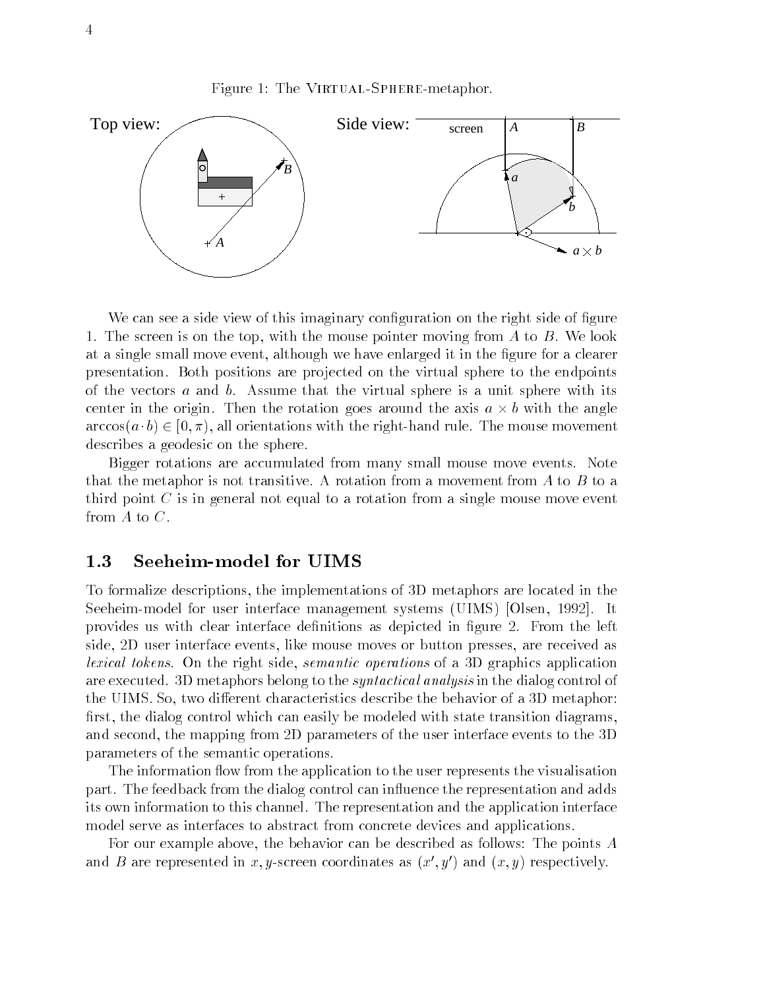Figure The Virtual-Spheremetaphor



We can see a side view of this imaginary configuration on the right side of figure 1. The screen is on the top, with the mouse pointer moving from  $A$  to  $B$ . We look at a single small move event, although we have enlarged it in the figure for a clearer presentation
 Both positions are pro jected on the virtual sphere to the endpoints of the vectors  $a$  and  $b$ . Assume that the virtual sphere is a unit sphere with its center in the origin. Then the rotation goes around the axis  $a \times b$  with the angle  $\arccos(a \cdot b) \in [0, \pi)$ , all orientations with the right-hand rule. The mouse movement describes a geodesic on the sphere

Bigger rotations are accumulated from many small mouse move events Note that the metaphor is not transitive. A rotation from a movement from A to B to a third point  $C$  is in general not equal to a rotation from a single mouse move event from  $A$  to  $C$ .

#### $1.3$ Seeheim-model for UIMS

To formalize descriptions the implementations of D metaphors are located in the Seeheim-model for user interface management systems (UIMS) [Olsen, 1992]. It provides us with clear interface definitions as depicted in figure 2. From the left side, 2D user interface events, like mouse moves or button presses, are received as *lexical tokens*. On the right side, *semantic operations* of a 3D graphics application are executed. 3D metaphors belong to the *syntactical analysis* in the dialog control of the UIMS. So, two different characteristics describe the behavior of a 3D metaphor: first, the dialog control which can easily be modeled with state transition diagrams, and second, the mapping from 2D parameters of the user interface events to the 3D parameters of the semantic operations

The information flow from the application to the user represents the visualisation part. The feedback from the dialog control can influence the representation and adds its own information to this channel
 The representation and the application interface model serve as interfaces to abstract from concrete devices and applications

For our example above the behavior can be described as follows The points A and  $D$  are represented in  $x, y$ -screen coordinates as  $(x, y$  ) and  $(x, y)$  respectively.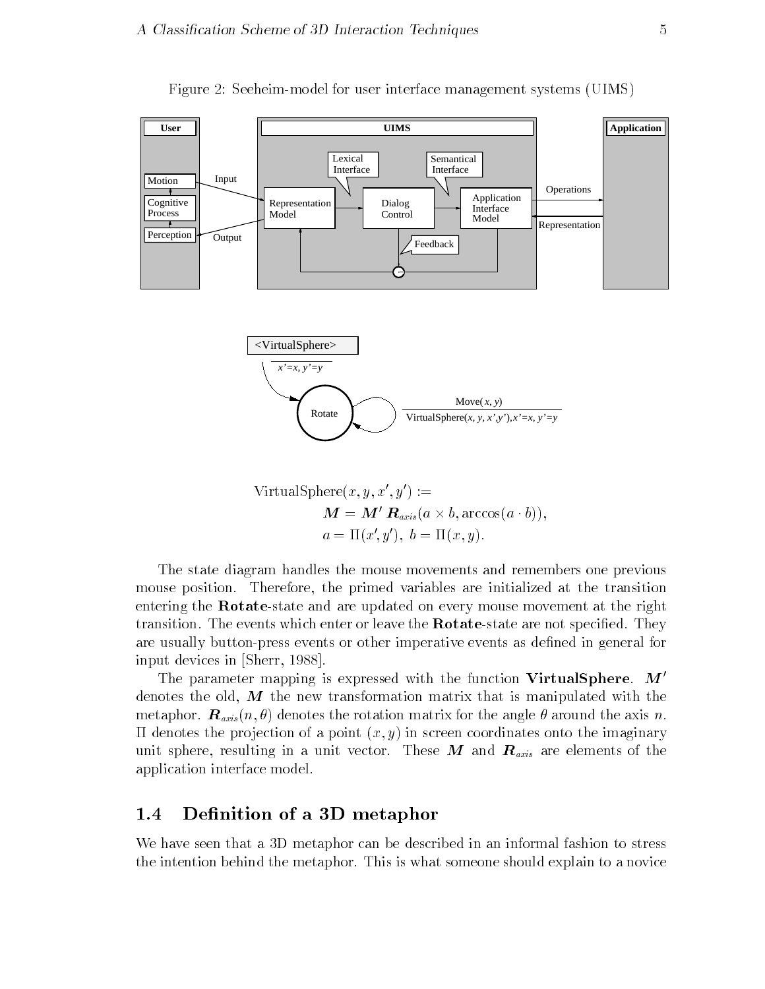

Figure Seeheimmodel for user interface management systems UIMS

$$
\begin{aligned} \text{VirtualSphere}(x, y, x', y') &:=\\ \mathbf{M} &= \mathbf{M'} \, \mathbf{R}_{axis}(a \times b, \arccos(a \cdot b)),\\ a &= \Pi(x', y'), \ b = \Pi(x, y). \end{aligned}
$$

The state diagram handles the mouse movements and remembers one previous mouse position. Therefore, the primed variables are initialized at the transition entering the **Rotate**-state and are updated on every mouse movement at the right transition. The events which enter or leave the **Rotate**-state are not specified. They are usually button-press events or other imperative events as defined in general for input devices in [Sherr, 1988].

The parameter mapping is expressed with the function VirtualSphere.  $M'$ denotes the old,  $\vec{M}$  the new transformation matrix that is manipulated with the metaphore the rotation matrix  $\alpha$  is the rotation matrix for the axis number of the axis number  $\alpha$  . The axis number of the axis  $\alpha$ as denotes the projection of a point  $\{x, y\}$  in screen coordinates onto the imaginates  $\mathcal{A}$ unit sphere, resulting in a unit vector. These M and  $\mathbf{R}_{axis}$  are elements of the application interface model

#### Definition of a 3D metaphor  $1.4$

We have seen that a 3D metaphor can be described in an informal fashion to stress the intention behind the metaphor
 This is what someone should explain to a novice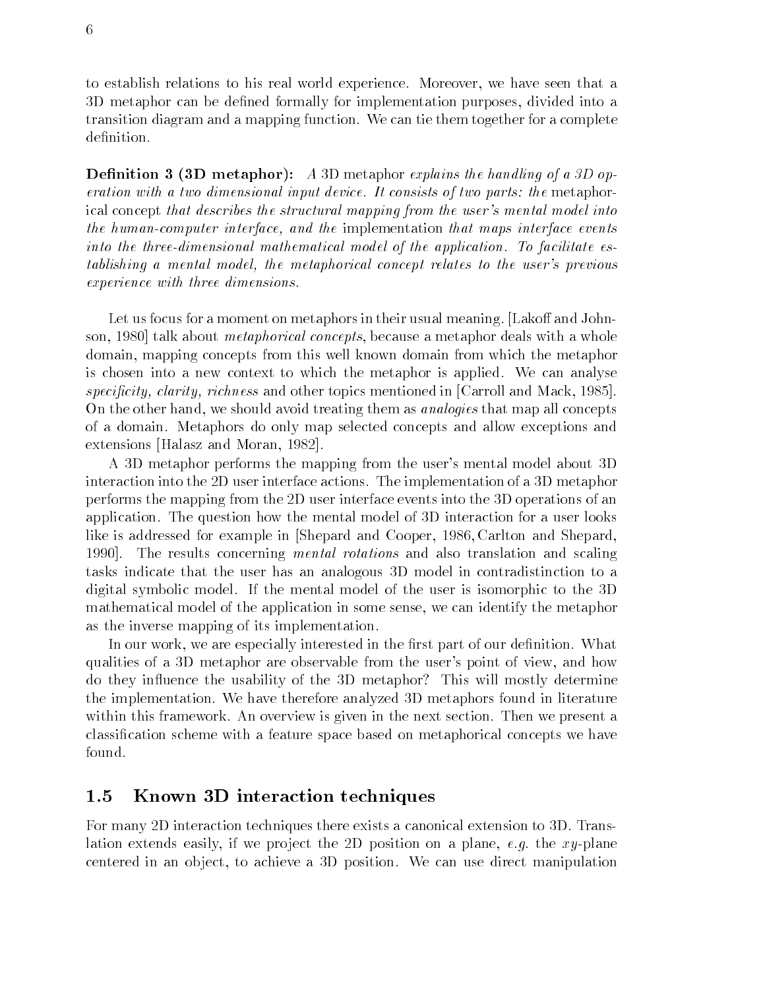to establish relations to his real world experience. Moreover, we have seen that a 3D metaphor can be defined formally for implementation purposes, divided into a transition diagram and a mapping function
 We can tie them together for a complete definition.

**Demition**  $\boldsymbol{\theta}$  **(oD metaphor).** A 3D metaphor explains the handling of a 3D operation with a two dimensional input device. It consists of two parts: the metaphorical concept that describes the structural mapping from the user's mental model into the human-computer interface, and the implementation that maps interface events into the three-dimensional mathematical model of the application. To facilitate establishing a mental model, the metaphorical concept relates to the user's previous experience with three dimensions

Let us focus for a moment on metaphors in their usual meaning. [Lakoff and Johnson, 1980 talk about *metaphorical concepts*, because a metaphor deals with a whole domain mapping concepts from this well known domain from which the metaphor is chosen into a new context to which the metaphor is applied We can analyse specificity richity richness and other topics and mentioned in Carroll and Machinese mentioned in Carroll and On the other hand, we should avoid treating them as *analogies* that map all concepts of a domain
 Metaphors do only map selected concepts and allow exceptions and extensions [Halasz and Moran, 1982].

A 3D metaphor performs the mapping from the user's mental model about 3D interaction into the 2D user interface actions. The implementation of a 3D metaphor performs the mapping from the D user interface events into the D operations of an application
 The question how the mental model of D interaction for a user looks like is addressed for example in Shepard and Cooper, 1986, Carlton and Shepard, 1990. The results concerning *mental rotations* and also translation and scaling tasks indicate that the user has an analogous D model in contradistinction to a digital symbolic model. If the mental model of the user is isomorphic to the 3D mathematical model of the application in some sense we can identify the metaphor as the inverse mapping of its implementation

In our work, we are especially interested in the first part of our definition. What qualities of a 3D metaphor are observable from the user's point of view, and how do they influence the usability of the 3D metaphor? This will mostly determine the implementation
 We have therefore analyzed D metaphors found in literature within this framework. An overview is given in the next section. Then we present a classification scheme with a feature space based on metaphorical concepts we have found

#### $1.5$ Known 3D interaction techniques

For many 2D interaction techniques there exists a canonical extension to 3D. Translation extends easily, if we project the 2D position on a plane, e.g. the xy-plane centered in an object, to achieve a 3D position. We can use direct manipulation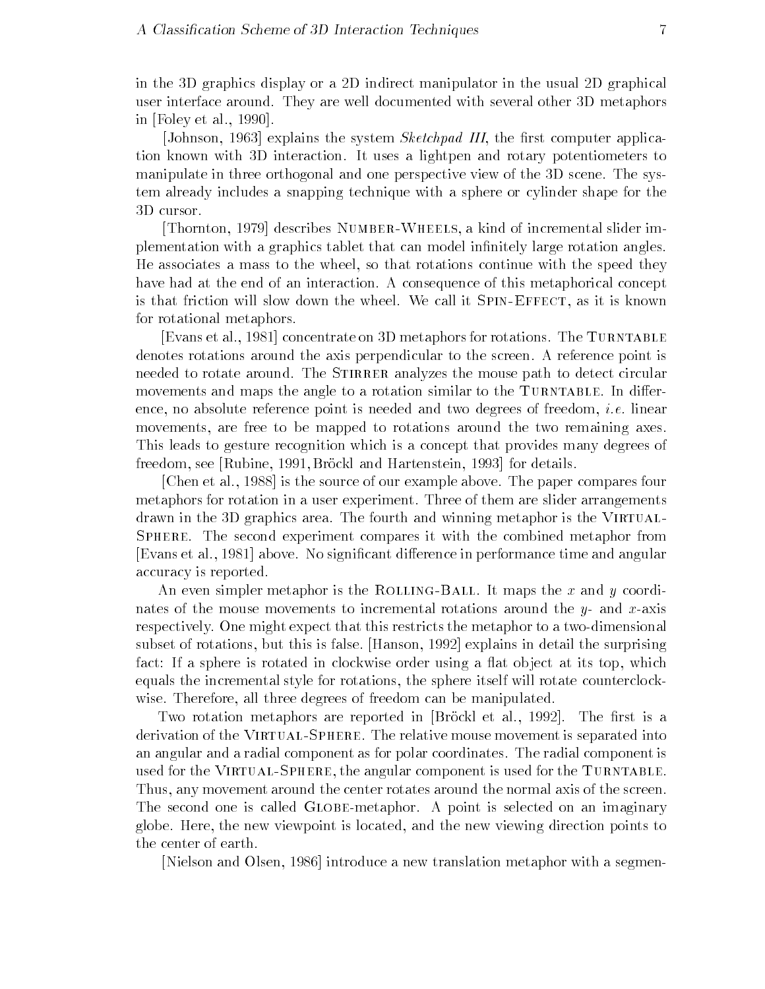in the D graphics display or a D indirect manipulator in the usual D graphical user interface around
 They are well documented with several other D metaphors in  $[Folev et al., 1990].$ 

[Johnson, 1963] explains the system *Sketchpad III*, the first computer application known with D interaction
 It uses a lightpen and rotary potentiometers to manipulate in three orthogonal and one perspective view of the 3D scene. The system already includes a snapping technique with a sphere or cylinder shape for the 3D cursor.

Thornton describes Number-Wheels a kind of incremental slider im plementation with a graphics tablet that can model infinitely large rotation angles. He associates a mass to the wheel so that rotations continue with the speed they have had at the end of an interaction. A consequence of this metaphorical concept is that friction will slow down the wheel
 We call it Spin-Effect as it is known for rotational metaphors

[Evans et al., 1981] concentrate on 3D metaphors for rotations. The TURNTABLE denotes rotations around the axis perpendicular to the screen
 A reference point is needed to rotate around. The STIRRER analyzes the mouse path to detect circular movements and maps the angle to a rotation similar to the TURNTABLE. In difference, no absolute reference point is needed and two degrees of freedom, *i.e.* linear movements, are free to be mapped to rotations around the two remaining axes. This leads to gesture recognition which is a concept that provides many degrees of freedom, see [Rubine, 1991, Brockl and Hartenstein, 1993] for details.

[Chen et al., 1988] is the source of our example above. The paper compares four metaphors for rotation in a user experiment. Three of them are slider arrangements drawn in the 3D graphics area. The fourth and winning metaphor is the VIRTUAL-SPHERE. The second experiment compares it with the combined metaphor from [Evans et al., 1981] above. No significant difference in performance time and angular accuracy is reported

An even simpler metaphor is the Rolling-Ball
 It maps the x and y coordi nates of the mouse movements to incremental rotations around the y- and x-axis respectively. One might expect that this restricts the metaphor to a two-dimensional subset of rotations, but this is false. [Hanson, 1992] explains in detail the surprising factor is rotated in clockwise order using a sphere is rotated in clockwise order using a at observed in the c equals the incremental style for rotations the sphere itself will rotate counterclock wise. Therefore, all three degrees of freedom can be manipulated.

Two rotation metaphors are reported in [Brock] et al., 1992]. The first is a derivation of the Virtual-Sphere
 The relative mouse movement is separated into an angular and a radial component as for polar coordinates
 The radial component is used for the Virtual-Sphere the angular component is used for the Turntable Thus, any movement around the center rotates around the normal axis of the screen. The second one is called GLOBE-metaphor. A point is selected on an imaginary globe
 Here the new viewpoint is located and the new viewing direction points to the center of earth

[Nielson and Olsen, 1986] introduce a new translation metaphor with a segmen-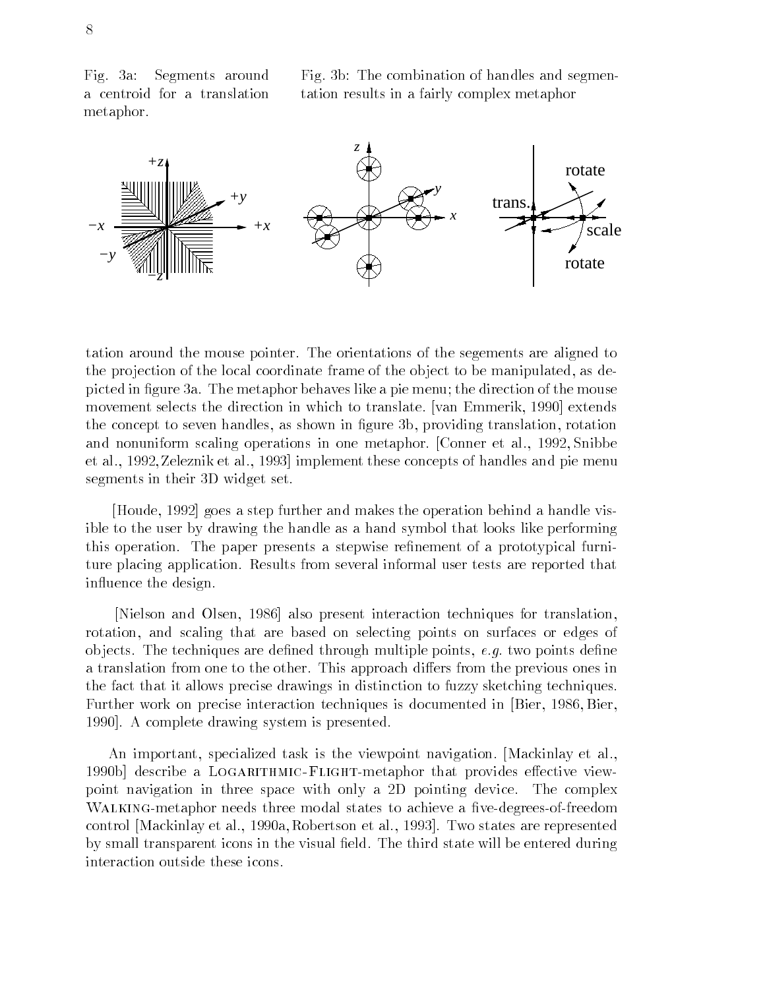Fig.  $3a$ : Segments around a centroid for a translation metaphor

Fig
 b The combination of handles and segmen tation results in a fairly complex metaphor



tation around the mouse pointer
 The orientations of the segements are aligned to the projection of the local coordinate frame of the object to be manipulated, as depicted in figure 3a. The metaphor behaves like a pie menu; the direction of the mouse movement selects the direction in which to translate. [van Emmerik, 1990] extends the concept to seven handles, as shown in figure 3b, providing translation, rotation and nonuniform scaling operations in one metaphor. [Conner et al., 1992, Snibbe et al., 1992, Zeleznik et al., 1993 implement these concepts of handles and pie menu segments in their 3D widget set.

Houde, 1992 goes a step further and makes the operation behind a handle visible to the user by drawing the handle as a hand symbol that looks like performing this operation. The paper presents a stepwise refinement of a prototypical furniture placing application
 Results from several informal user tests are reported that influence the design.

[Nielson and Olsen, 1986] also present interaction techniques for translation, rotation and scaling that are based on selecting points on surfaces or edges of objects. The techniques are defined through multiple points,  $e.g.$  two points define a translation from one to the other. This approach differs from the previous ones in the fact that it allows precise drawings in distinction to fuzzy sketching techniques Further work on precise interaction techniques is documented in Bier, 1986, Bier, 1990. A complete drawing system is presented.

An important, specialized task is the viewpoint navigation. [Mackinlay et al., b describe a Logarithmic-Flightmetaphor that provides eective view point navigation in three space with only a 2D pointing device. The complex WALKING-metaphor needs three modal states to achieve a five-degrees-of-freedom control Mackinlay et al., 1990a, Robertson et al., 1993. Two states are represented by small transparent icons in the visual field. The third state will be entered during interaction outside these icons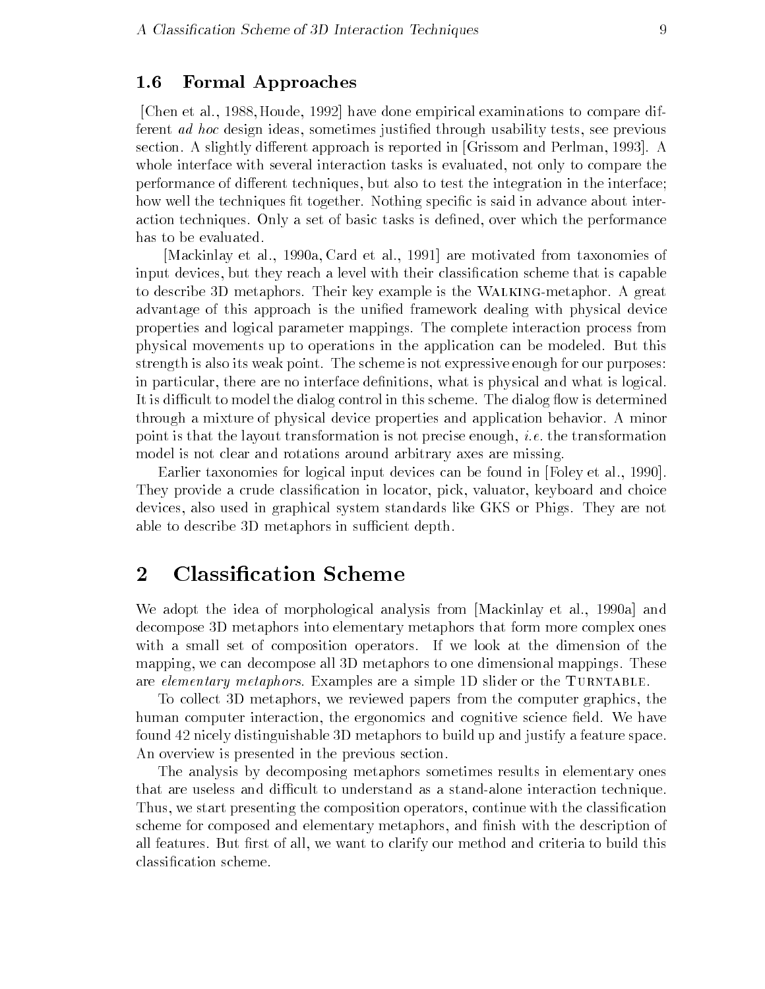### Formal Approaches

[Chen et al., 1988, Houde, 1992] have done empirical examinations to compare different ad hoc design ideas, sometimes justified through usability tests, see previous section. A slightly different approach is reported in [Grissom and Perlman, 1993]. A whole interface with several interaction tasks is evaluated, not only to compare the performance of different techniques, but also to test the integration in the interface; how well the techniques fit together. Nothing specific is said in advance about interaction techniques. Only a set of basic tasks is defined, over which the performance has to be evaluated

[Mackinlay et al., 1990a, Card et al., 1991] are motivated from taxonomies of input devices, but they reach a level with their classification scheme that is capable to describe 3D metaphors. Their key example is the WALKING-metaphor. A great advantage of this approach is the unified framework dealing with physical device properties and logical parameter mappings
 The complete interaction process from physical movements up to operations in the application can be modeled
 But this strength is also its weak point. The scheme is not expressive enough for our purposes: in particular, there are no interface definitions, what is physical and what is logical. It is difficult to model the dialog control in this scheme. The dialog flow is determined through a mixture of physical device properties and application behavior
 A minor point is that the layout transformation is not precise enough, *i.e.* the transformation model is not clear and rotations around arbitrary axes are missing

Earlier taxonomies for logical input devices can be found in [Foley et al., 1990]. They provide a crude classification in locator, pick, valuator, keyboard and choice devices, also used in graphical system standards like GKS or Phigs. They are not able to describe 3D metaphors in sufficient depth.

#### $\overline{2}$ **Classification Scheme**

We adopt the idea of morphological analysis from [Mackinlay et al., 1990a] and decompose D metaphors into elementary metaphors that form more complex ones with a small set of composition operators If we look at the dimension of the mapping, we can decompose all 3D metaphors to one dimensional mappings. These are *elementary metaphors*. Examples are a simple 1D slider or the TURNTABLE.

To collect 3D metaphors, we reviewed papers from the computer graphics, the human computer interaction, the ergonomics and cognitive science field. We have found  $42$  nicely distinguishable  $3D$  metaphors to build up and justify a feature space. An overview is presented in the previous section

The analysis by decomposing metaphors sometimes results in elementary ones that are useless and difficult to understand as a stand-alone interaction technique. Thus, we start presenting the composition operators, continue with the classification scheme for composed and elementary metaphors, and finish with the description of all features. But first of all, we want to clarify our method and criteria to build this classification scheme.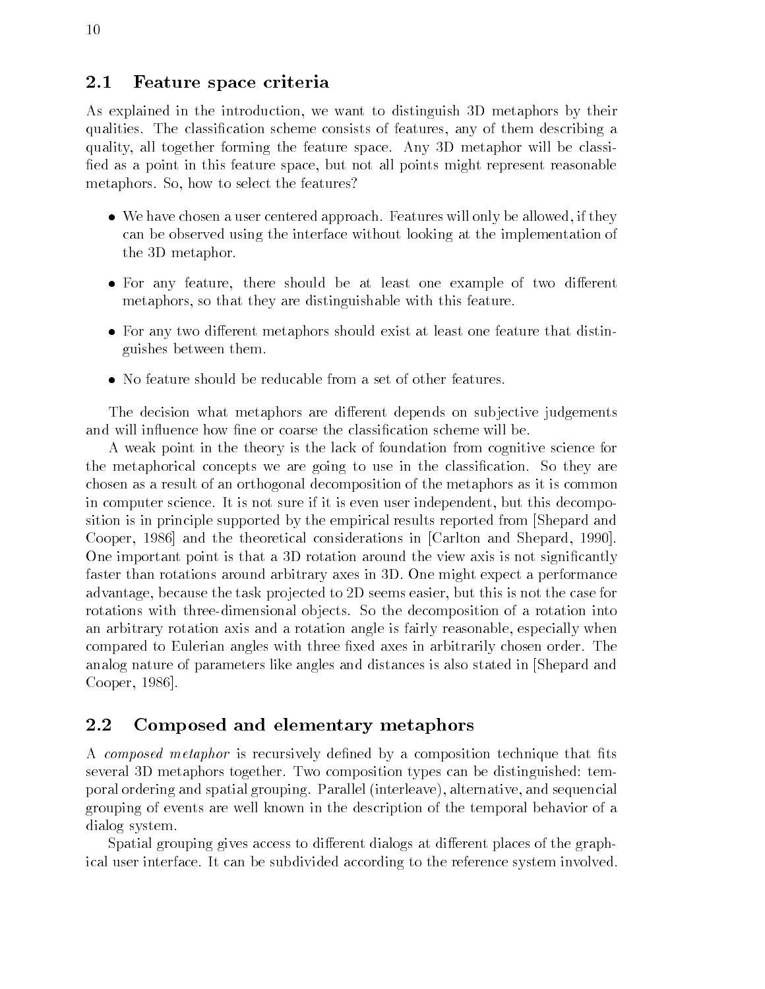#### Feature space criteria  $2.1\,$

As explained in the introduction we want to distinguish D metaphors by their qualities. The classification scheme consists of features, any of them describing a quality all together forming the feature space Any D metaphor will be classi fied as a point in this feature space, but not all points might represent reasonable metaphors. So, how to select the features?

- $\bullet$  . We have chosen a user centered approach. Features will only be allowed, if they  $\bullet$ can be observed using the interface without looking at the implementation of the 3D metaphor.
- $\bullet$  for any feature, there should be at least one example of two different  $\hspace{0.1mm}$ metaphors, so that they are distinguishable with this feature.
- $\bullet$  for any two different metaphors should exist at least one feature that distinguishes between them
- $\bullet\,$  No feature should be reducable from a set of other features.  $\,$

The decision what metaphors are different depends on subjective judgements and will influence how fine or coarse the classification scheme will be.

A weak point in the theory is the lack of foundation from cognitive science for the metaphorical concepts we are going to use in the classification. So they are chosen as a result of an orthogonal decomposition of the metaphors as it is common in computer science. It is not sure if it is even user independent, but this decomposition is in principle supported by the empirical results reported from [Shepard and Cooper, 1986 and the theoretical considerations in  $[Carlton and Shepard, 1990]$ . One important point is that a 3D rotation around the view axis is not significantly faster than rotations around arbitrary axes in D
 One might expect a performance advantage, because the task projected to 2D seems easier, but this is not the case for rotations with three-dimensional objects. So the decomposition of a rotation into an arbitrary rotation axis and a rotation angle is fairly reasonable, especially when compared to Eulerian angles with three fixed axes in arbitrarily chosen order. The analog nature of parameters like angles and distances is also stated in Shepard and Cooper, 1986.

#### $2.2$ Composed and elementary metaphors

A composed metaphor is recursively defined by a composition technique that fits several temporal togethers to the temporal types can be distinguished the temporal temporal temporal temporal poral ordering and spatial grouping. Parallel (interleave), alternative, and sequencial grouping of events are well known in the description of the temporal behavior of a dialog system

Spatial grouping gives access to different dialogs at different places of the graphical user interface. It can be subdivided according to the reference system involved.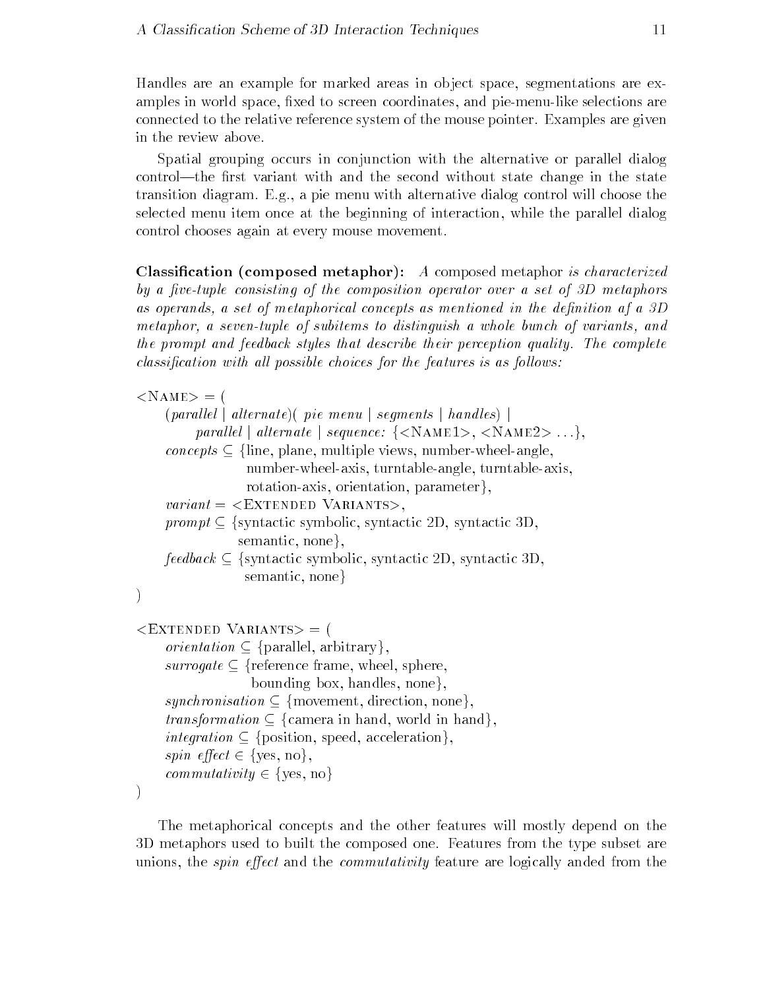Handles are an example for marked areas in object space, segmentations are examples in world space, fixed to screen coordinates, and pie-menu-like selections are connected to the relative reference system of the mouse pointer
 Examples are given in the review above

Spatial grouping occurs in conjunction with the alternative or parallel dialog  $\mathbf{r}$ transition diagram
 E
g
 a pie menu with alternative dialog control will choose the selected menu item once at the beginning of interaction, while the parallel dialog control chooses again at every mouse movement

 $\alpha$  cation composed metaphor  $\mu$  a composed metaphor is characterized by a vetuple consisting of the composition operator over a set of D metaphors as operands a set of metaphorical concepts as mentioned in the department  $\alpha$  and  $\alpha$ metaphor, a seven-tuple of subitems to distinguish a whole bunch of variants, and the prompt and feedback styles that describe their perception quality. The complete classification with all possible choices for the features is as follows with

 $<$ NAME $>$  = (  $(parallel \mid alternate)$  (*pie menu*  $|$  *segments*  $|$  *handles*)  $|$ parallel | alternate | sequence:  $\{\langle NAME1\rangle, \langle NAME2\rangle ...\},\$ concepts  $\subset$  {line, plane, multiple views, number-wheel-angle, number-wheel-axis, turntable-angle, turntable-axis,  $rotation-axis, orientation, parameter\},\$  $variant = **EXTENDED** *VARIANTS*$ prompt  $\subset$  {syntactic symbolic, syntactic 2D, syntactic 3D, semantic, none},  $feedback \subseteq$  {syntactic symbolic, syntactic 2D, syntactic 3D, semantic, none  $\mathcal{L}$  $\langle$ EXTENDED VARIANTS $\rangle$  = ( *orientation*  $\subseteq$  {parallel, arbitrary}, surrogate  $\subseteq$  {reference frame, wheel, sphere, bounding box, handles, none $\}$ , synchronisation  $\subset \{$ movement, direction, none $\},$ *transformation*  $\subseteq$  {camera in hand, world in hand}, integration  $\subset \{\text{position}, \text{speed}, \text{acceleration}\},\$ spin effect  $\in \{yes, no\},\$ commutativity  $\in \{yes, no\}$  $\lambda$ 

The metaphorical concepts and the other features will mostly depend on the D metaphors used to built the composed one
 Features from the type subset are unions, the *spin effect* and the *commutativity* feature are logically anded from the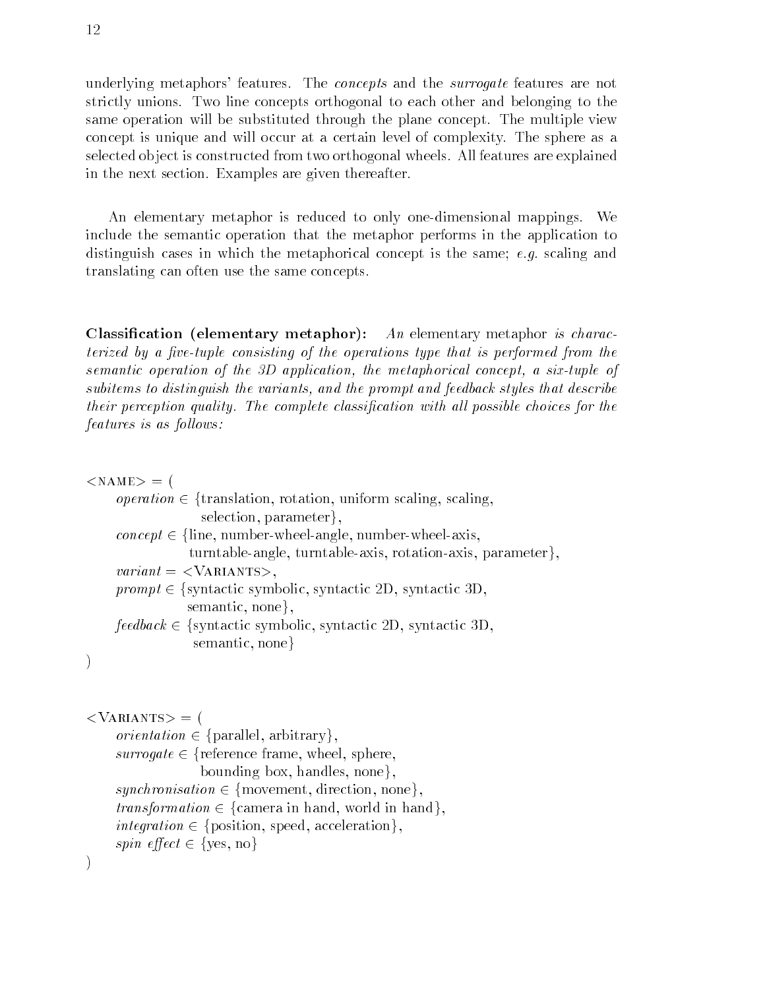underlying metaphors' features. The *concepts* and the *surrogate* features are not strictly unions
 Two line concepts orthogonal to each other and belonging to the same operation will be substituted through the plane concept
 The multiple view concept is unique and will occur at a certain level of complexity
 The sphere as a selected ob ject is constructed from two orthogonal wheels
 All features are explained in the next section
 Examples are given thereafter

An elementary metaphor is reduced to only one-dimensional mappings. We include the semantic operation that the metaphor performs in the application to distinguish cases in which the metaphorical concept is the same;  $e.g.$  scaling and translating can often use the same concepts

 $\alpha$  cation (ciclification and  $\alpha$  is computed and  $\alpha$  increased in  $\alpha$  characters terized by a vetuple consisting of the operations type that is performed from the semantic operation of the  $3D$  application, the metaphorical concept, a six-tuple of subitems to distinguish the variants, and the prompt and feedback styles that describe their perception quality The complete classi cation with all possible choices for the  $features$  is as  $follows$ :

### $\langle NAME \rangle = ($

| <i>operation</i> $\in$ {translation, rotation, uniform scaling, scaling,                   |
|--------------------------------------------------------------------------------------------|
| selection, parameter.                                                                      |
| $concept \in \{\text{line}, \text{number-wheel-angle}, \text{number-wheel-axis}, \text{m}$ |
| turntable-angle, turntable-axis, rotation-axis, parameter},                                |
| $variant = \langle VARIANTS \rangle,$                                                      |
| $prompt \in \{syntactic symbolic, syntactic 2D, syntactic 3D,$                             |
| semantic, none,                                                                            |
| $feedback \in \{syntactic \; symbolic, syntactic \; 2D, syntactic \; 3D,$                  |
| semantic, none                                                                             |
|                                                                                            |

```
\big)
```

```
<VARIANTS> = (
     orientation \in {parallel, arbitrary},
     surrogate \in {reference frame, wheel, sphere,
                   bounding box, handles, none.
    synchronisation \in \{ movement, direction, none\},transformation \in {camera in hand, world in hand},
     integration \in {position, speed, acceleration},
    spin effect \in {yes, no}
\mathcal{E}
```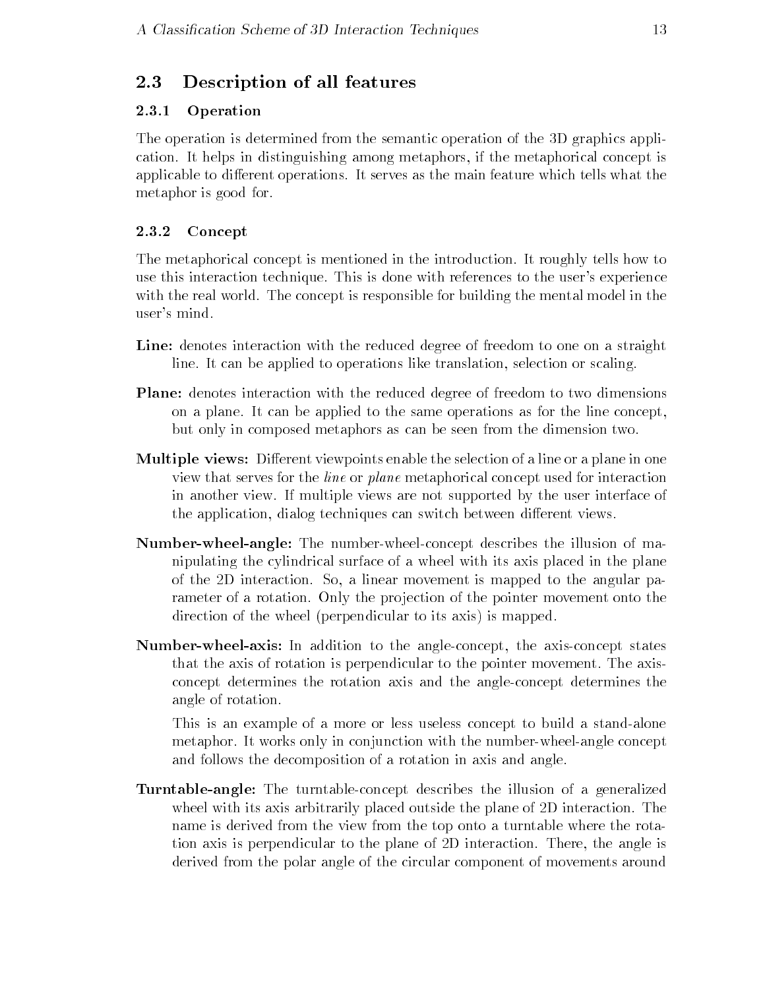#### Description of all features 2.3

#### 2.3.1 Operation

The operation is determined from the semantic operation of the D graphics appli cation
 It helps in distinguishing among metaphors if the metaphorical concept is applicable to different operations. It serves as the main feature which tells what the metaphor is good for

#### 2.3.2 Concept

The metaphorical concept is mentioned in the introduction
 It roughly tells how to use this interaction technique. This is done with references to the user's experience with the real world. The concept is responsible for building the mental model in the user's mind.

- Line denotes interaction with the reduced degree of freedom to one on a straight line. It can be applied to operations like translation, selection or scaling.
- Plane denotes interaction with the reduced degree of freedom to two dimensions on a plane
 It can be applied to the same operations as for the line concept but only in composed metaphors as can be seen from the dimension two
- Multiple views Dierent viewpoints enable the selection of a line or a plane in one view that serves for the line or plane metaphorical concept used for interaction in another view
 If multiple views are not supported by the user interface of the application, dialog techniques can switch between different views.
- where we have an angles the internet have concept described internet of man a nipulating the cylindrical surface of a wheel with its axis placed in the plane of the D interaction
 So a linear movement is mapped to the angular pa rameter of a rotation. Only the projection of the pointer movement onto the direction of the wheel (perpendicular to its axis) is mapped.
- where  $\alpha$  in addition the addition to the axiste streept shee and the actively states. that the axis of rotation is perpendicular to the pointer movement
 The axis concept determines the rotation axis and the angleconcept determines the angle of rotation

This is an example of a more or less useless concept to build a stand-alone metaphor. It works only in conjunction with the number-wheel-angle concept and follows the decomposition of a rotation in axis and angle

and the turntable turntable turntable concept describes the induced of a generalized wheel with its axis arbitrarily placed outside the plane of 2D interaction. The name is derived from the view from the top onto a turntable where the rota tion axis is perpendicular to the plane of 2D interaction. There, the angle is derived from the polar angle of the circular component of movements around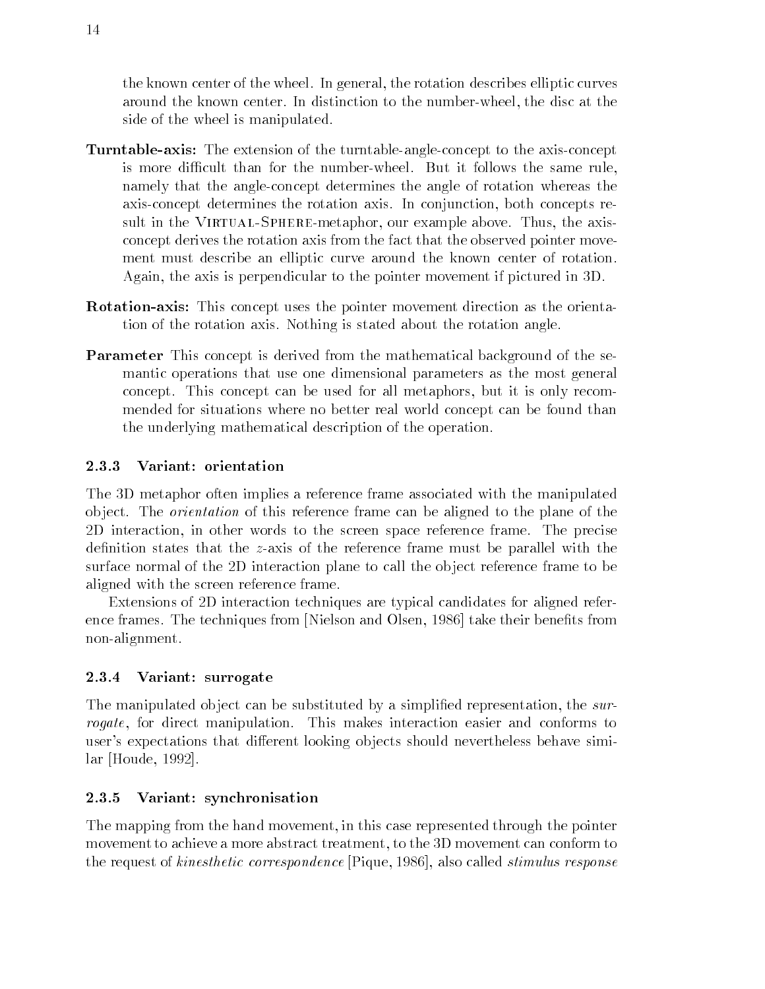the known center of the wheel. In general, the rotation describes elliptic curves around the known center
 In distinction to the numberwheel the disc at the side of the wheel is manipulated

- axisticles this target characteristic the turntable angle concept to the and concept is more difficult than for the number-wheel. But it follows the same rule, namely that the angleconcept determines the angle of rotation whereas the axis-concept determines the rotation axis. In conjunction, both concepts resure in the Virtual-Spheremetric intervalses and alternative above a strategy in the axistence of the axis of concept derives the rotation axis from the fact that the observed pointer move ment must describe an elliptic curve around the known center of rotation Again, the axis is perpendicular to the pointer movement if pictured in 3D.
- avevere as this this concept uses pointer move movement and the concept the the oriental tion of the rotation axis
 Nothing is stated about the rotation angle
- Parameter This concept is derived from the mathematical background of the se mantic operations that use one dimensional parameters as the most general concept. This concept can be used for all metaphors, but it is only recommended for situations where no better real world concept can be found than the underlying mathematical description of the operation

#### 2.3.3 Variant: orientation

The D metaphor often implies a reference frame associated with the manipulated object. The *orientation* of this reference frame can be aligned to the plane of the D interaction in other words to the screen space reference frame The precise definition states that the z-axis of the reference frame must be parallel with the surface normal of the 2D interaction plane to call the object reference frame to be aligned with the screen reference frame

Extensions of D interaction techniques are typical candidates for aligned refer ence frames. The techniques from [Nielson and Olsen, 1986] take their benefits from non-alignment.

#### 2.3.4 Variant: surrogate

The manipulated object can be substituted by a simplified representation, the surrogate, for direct manipulation. This makes interaction easier and conforms to user's expectations that different looking objects should nevertheless behave simi- $\ar$  [Houde, 1992].

#### 2.3.5 Variant: synchronisation

The mapping from the hand movement in this case represented through the pointer movement to achieve a more abstract treatment, to the 3D movement can conform to the request of *kinesthetic correspondence* [Pique, 1986], also called *stimulus response*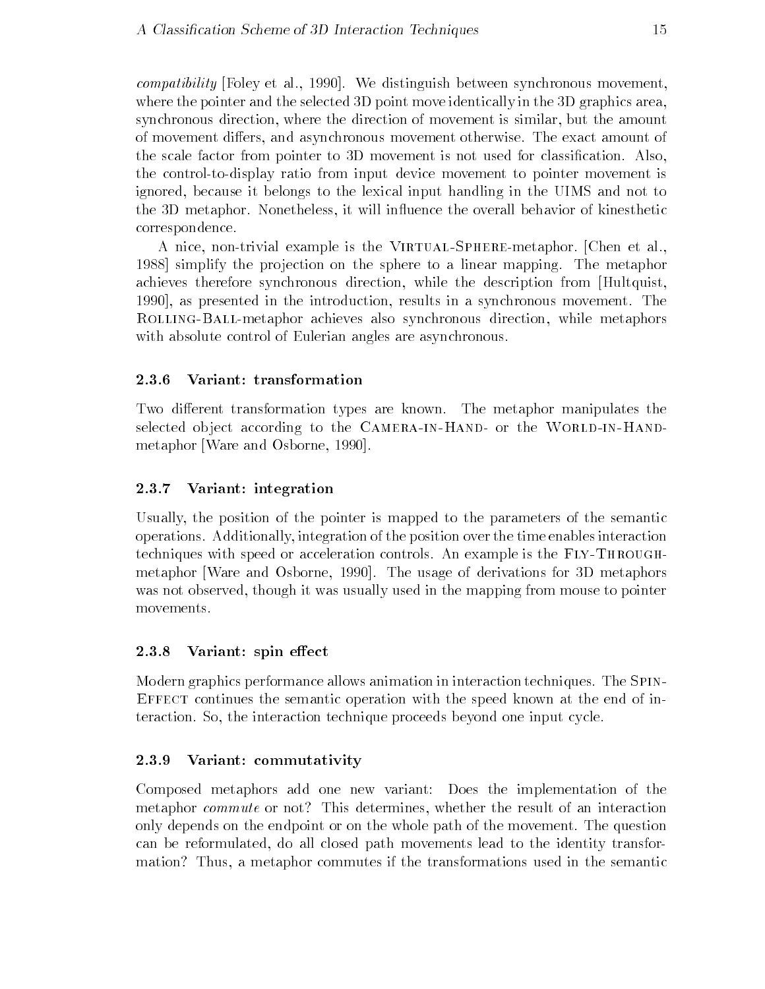$compatibility$  [Foley et al., 1990]. We distinguish between synchronous movement, where the pointer and the selected  $3D$  point move identically in the  $3D$  graphics area, synchronous direction, where the direction of movement is similar, but the amount of movement differs, and asynchronous movement otherwise. The exact amount of the scale factor from pointer to 3D movement is not used for classification. Also, the control-to-display ratio from input device movement to pointer movement is ignored, because it belongs to the lexical input handling in the UIMS and not to the 3D metaphor. Nonetheless, it will influence the overall behavior of kinesthetic correspondence

A nice nontrivial example is the Virtual-Spheremetaphor
 Chen et al 1988 simplify the projection on the sphere to a linear mapping. The metaphor achieves therefore synchronous direction, while the description from [Hultquist, 1990, as presented in the introduction, results in a synchronous movement. The Rolling-Ballmetaphor achieves also synchronous direction while metaphors with absolute control of Eulerian angles are asynchronous.

#### 2.3.6 Variant: transformation - - - - -

Two different transformation types are known. The metaphor manipulates the selected ob ject according to the Camera-in-Hand or the World-in-Hand metaphor [Ware and Osborne, 1990].

#### 2.3.7 Variant: integration

Usually the position of the pointer is mapped to the parameters of the semantic operations
 Additionally integration of the position over the time enables interaction techniques with speed or acceleration controls
 An example is the Fly-Through metaphor [Ware and Osborne, 1990]. The usage of derivations for 3D metaphors was not observed, though it was usually used in the mapping from mouse to pointer movements.

#### 2.3.8 Variant: spin effect

Modern graphics performance allows animation in interaction techniques
 The Spin-EFFECT continues the semantic operation with the speed known at the end of interaction. So, the interaction technique proceeds beyond one input cycle.

#### 2.3.9 Variant: commutativity

Composed metaphors add one new variant Does the implementation of the metaphor *commute* or not? This determines, whether the result of an interaction only depends on the endpoint or on the whole path of the movement
 The question can be reformulated, do all closed path movements lead to the identity transformation? Thus, a metaphor commutes if the transformations used in the semantic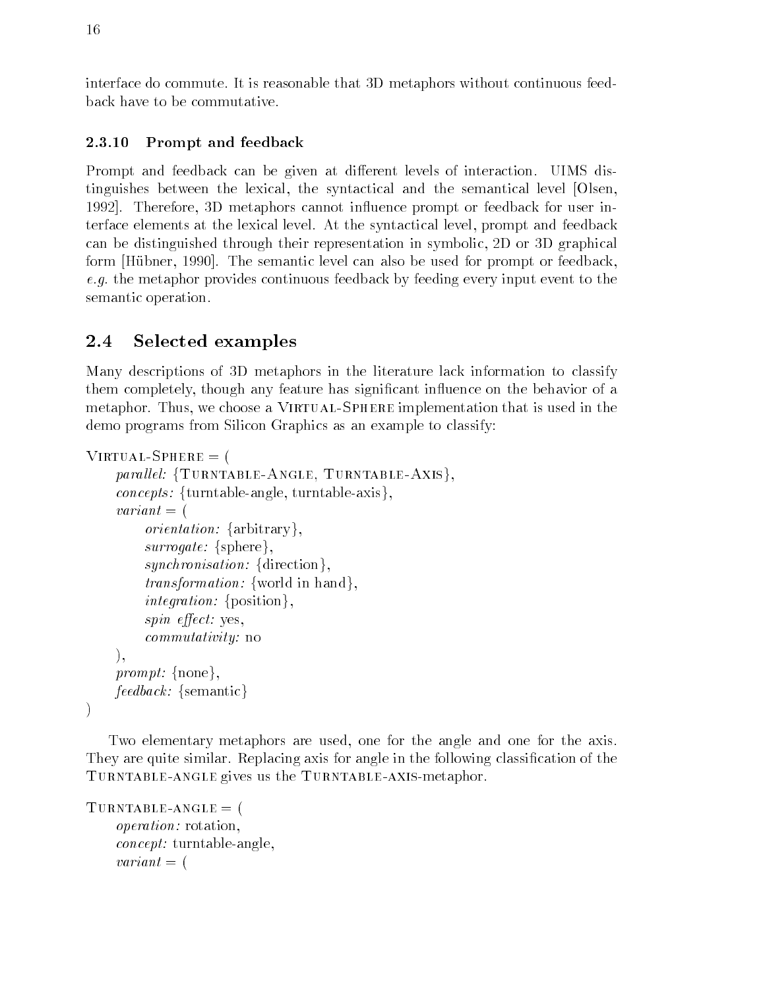interface do commute. It is reasonable that 3D metaphors without continuous feedback have to be commutative

#### 2.3.10 Prompt and feedback

Prompt and feedback can be given at different levels of interaction. UIMS distinguishes between the lexical, the syntactical and the semantical level [Olsen, 1992. Therefore, 3D metaphors cannot influence prompt or feedback for user interface elements at the lexical level. At the syntactical level, prompt and feedback can be distinguished through their representation in symbolic, 2D or 3D graphical form [Hübner, 1990]. The semantic level can also be used for prompt or feedback, e.g. the metaphor provides continuous feedback by feeding every input event to the semantic operation

## 2.4 Selected examples

Many descriptions of D metaphors in the literature lack information to classify them completely, though any feature has significant influence on the behavior of a metaphor
 Thus we choose a Virtual-Sphere implementation that is used in the demo programs from Silicon Graphics as an example to classify

```
Virtual-
Sphere  
       parallel: {TURNTABLE-ANGLE, TURNTABLE-AXIS},
       concepts: {turntable-angle, turntable-axis},
       variant = (variant external control of the control of the control of the control of the control of the control of the control of the control of the control of the control of the control of the control of the control of the control of
              orientation: \{arbitrary\},
              surrogate: {sphere},
              synchronisation: {direction},
              transformation: {world in hand},
              integration: \{position\},
              spin effect: yes.
              commutativity: no
       \lambda.
       prompt: \{none\},
       feedback: {semantic}
\lambda
```
Two elementary metaphors are used, one for the angle and one for the axis. They are quite similar. Replacing axis for angle in the following classification of the acismeta contract  $\pi$  . In the Turntable-contract  $\pi$ 

```
Turntable-based on the control of the control of the control of the control of the control of the control of the control of the control of the control of the control of the control of the control of the control of the cont
               operation: rotation,
               concept: turntable-angle,
               variant = (
```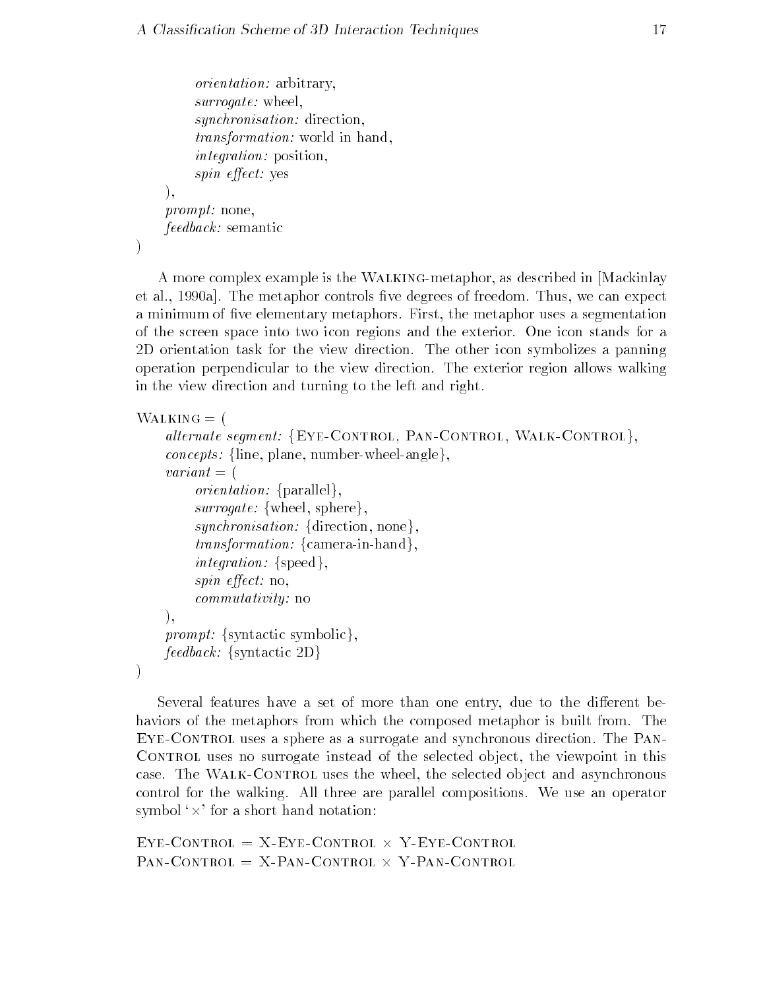```
orientation: arbitrary,
     surrogate: wheel,
     synchronisation: direction,
     transformation: world in hand,
     integration: position,
     spin effect: yes
),prompt: none,
feedback: semantic
```
A more complex example is the WALKING-metaphor, as described in Mackinlay et al., 1990a. The metaphor controls five degrees of freedom. Thus, we can expect a minimum of five elementary metaphors. First, the metaphor uses a segmentation of the screen space into two icon regions and the exterior
 One icon stands for a 2D orientation task for the view direction. The other icon symbolizes a panning operation perpendicular to the view direction
 The exterior region allows walking in the view direction and turning to the left and right

```
WALKING = (
```
 $\big)$ 

```
alternate segment: {EYE-CONTROL, PAN-CONTROL, WALK-CONTROL},
    concepts: {line, plane, number-wheel-angle},
    variant = (orientation: \{parallel\},
         surrogate: \{wheel, sphere\},\synchronisation: {direction, none},
         transformation: \{camera-in-hand\},\integration: \{speed\},\spin effect: no,
         commutativity: no
    ),prompt: {syntactic symbolic},
    feedback: {syntactic 2D}
\lambda
```
Several features have a set of more than one entry, due to the different behaviors of the metaphors from which the composed metaphor is built from The Eye-Control uses a sphere as a surrogate and synchronous direction
 The Pan-CONTROL uses no surrogate instead of the selected object, the viewpoint in this case
 The Walk-Control uses the wheel the selected ob ject and asynchronous control for the walking All three are parallel compositions We use an operator symbol  $\times$  for a short hand notation:

 $EYE$ -CONTROL =  $X$ -EYE-CONTROL  $\times$  Y-EYE-CONTROL  $PAN$ -CONTROL = X-PAN-CONTROL  $\times$  Y-PAN-CONTROL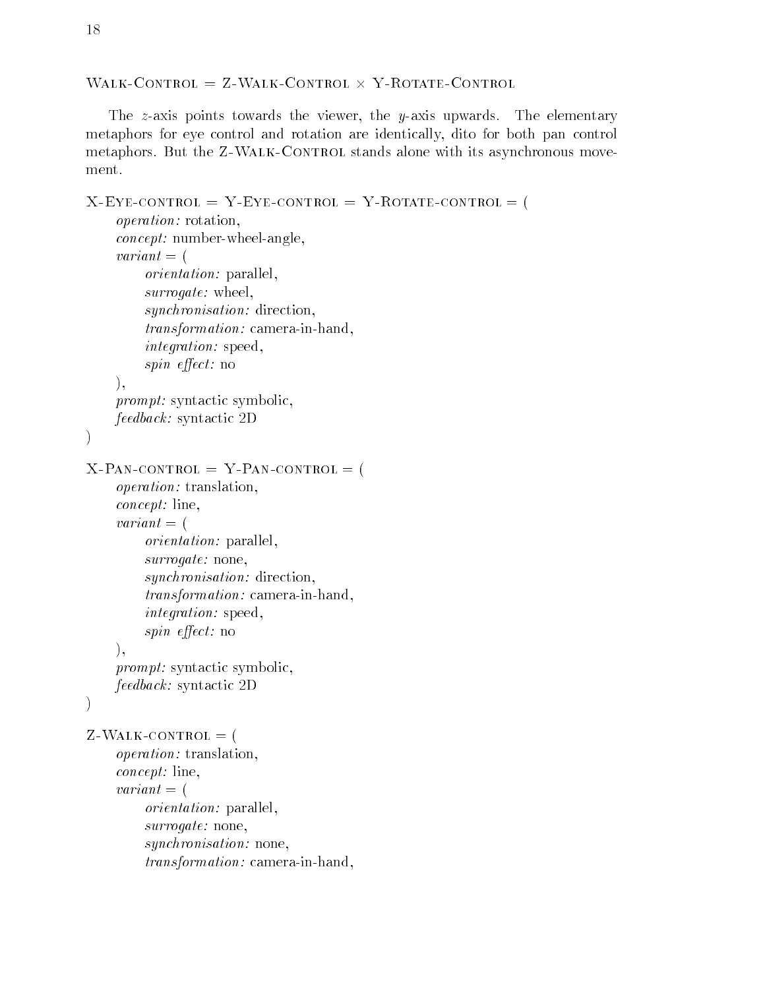$WALK\text{-}\text{CONTROL} = Z-WALK\text{-}\text{CONTROL} \times Y\text{-}\text{ROTATE}\text{-}\text{CONTROL}$ 

The  $z$ -axis points towards the viewer, the  $y$ -axis upwards. The elementary metaphors for eye control and rotation are identically dito for both pan control metaphors
 But the Z-Walk-Control stands alone with its asynchronous move ment.

```
X-
Eye-
control  Y-
Eye-
control  Y-
Rotate-
control  
      operation: rotation,
      concept: number-wheel-angle,
      variant = (variant external control of the control of the control of the control of the control of the control of the control of the control of the control of the control of the control of the control of the control of the control of
           orientation: parallel,
           surrogate: wheel,
           synchronisation: direction,
           transformation: camera-in-hand,
           integration: speed,
           spin effect: no
     ),prompt: syntactic symbolic,
     feedback: syntactic 2D
\mathcal{E}X-
Pan-
control  Y-
Pan-
control  
      operation: translation,
      concept: line,
      variant = (orientation: parallel,
           surrogate: none,synchronisation: direction,
           transformation: camera-in-hand,integration: speed,
           spin effect: no
     \lambda.
     prompt: syntactic symbolic,
     feedback: syntactic 2D
\mathcal{E}Z-
Walk-
control  
      operation: translation,
      concept: line,
      variant = (orientation: parallel,surrogate: none,synchronisation: none,transformation: camera-in-hand,
```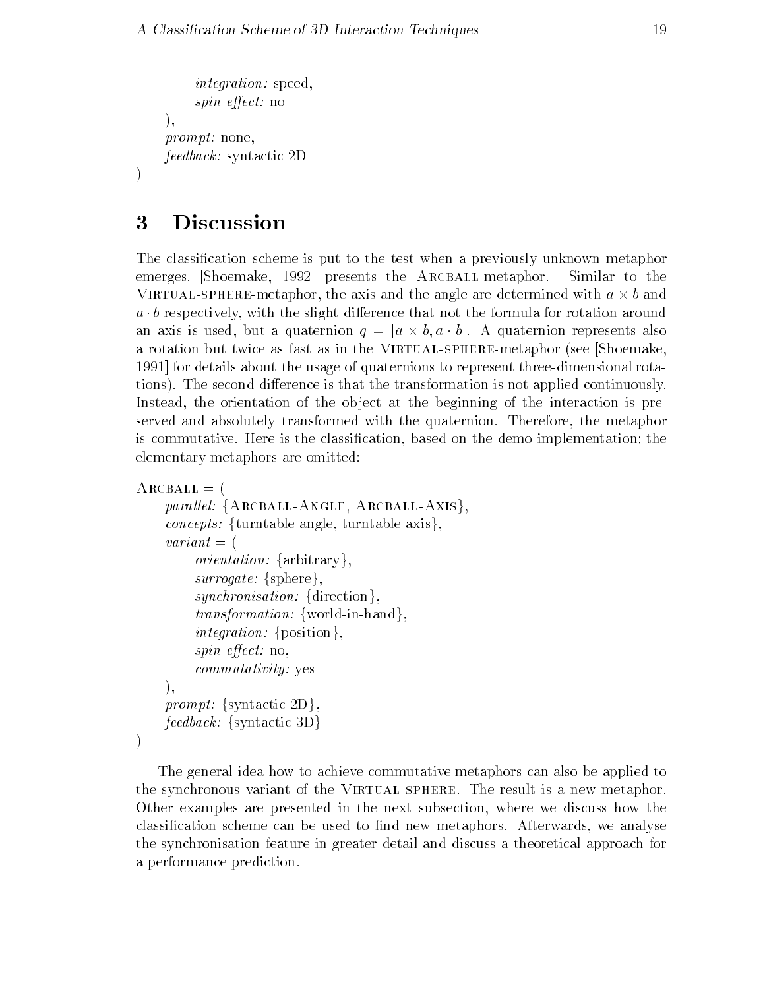```
integration: speed,
     spin effect: no
),prompt: none,
feedback: syntactic 2D
```
### 3 **Discussion**

The classification scheme is put to the test when a previously unknown metaphor emerges. Shoemake, 1992 presents the ARCBALL-metaphor. Similar to the VIRTUAL-SPHERE-metaphor, the axis and the angle are determined with  $a \times b$  and  $a \cdot b$  respectively, with the slight difference that not the formula for rotation around an axis is used, but a quaternion  $q = [a \times b, a \cdot b]$ . A quaternion represents also a rotation but twice as fast as in the Virtual-Client as fasted in the Shoemaker see Shoemaker see Shoemaker s for details about the usage of quaternions to represent threedimensional rota tions). The second difference is that the transformation is not applied continuously. Instead, the orientation of the object at the beginning of the interaction is preserved and absolutely transformed with the quaternion
 Therefore the metaphor is commutative. Here is the classification, based on the demo implementation; the elementary metaphors are omitted

```
ARCBALL = (parallel: {ARCBALL-ANGLE, ARCBALL-AXIS},
    concepts: {turntable-angle, turntable-axis},
    variant = (orientation: \{arbitrary\},
         surrogate: \{sphere\},\synchronisation: {direction},
         transformation: {world-in-hand},
         integration: {position},
         spin effect: no,
         commutativity: yes
    ),prompt: \{syntactic 2D\}.
    feedback: {syntactic 3D}
\big)
```
The general idea how to achieve commutative metaphors can also be applied to the synchronous variant of the Virtual-sphere
 The result is a new metaphor Other examples are presented in the next subsection where we discuss how the classification scheme can be used to find new metaphors. Afterwards, we analyse the synchronisation feature in greater detail and discuss a theoretical approach for a performance prediction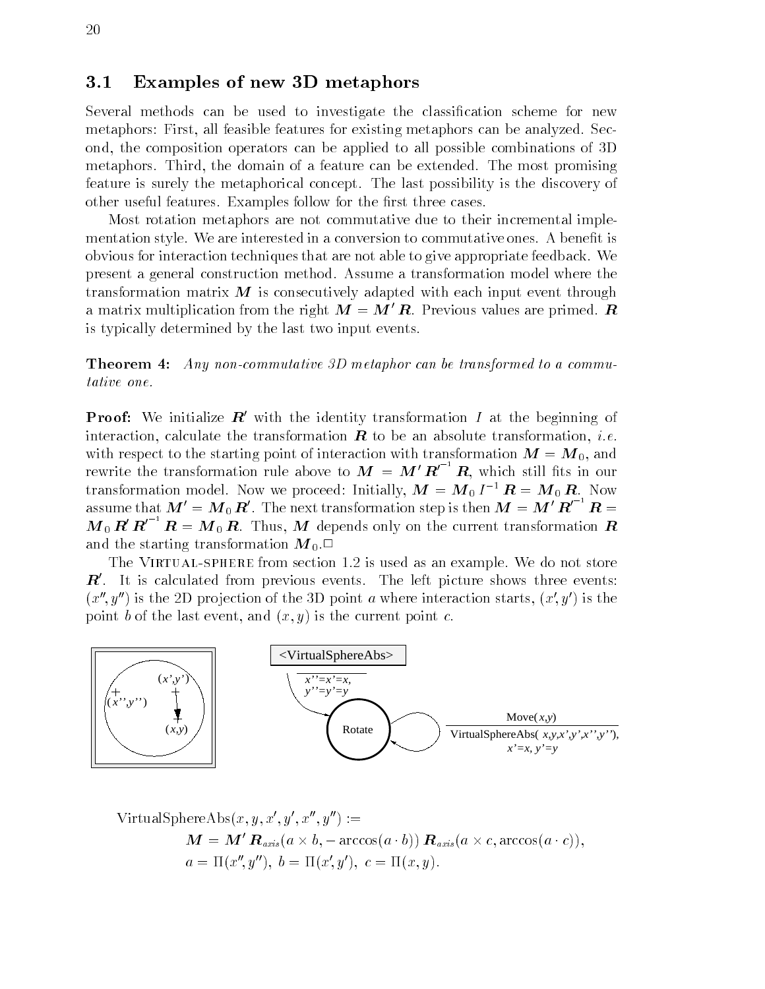#### $3.1$ Examples of new 3D metaphors

Several methods can be used to investigate the classification scheme for new metaphorse all features for existing all features for the analyzed metaphors can be analyzed on the analyzed ond, the composition operators can be applied to all possible combinations of 3D metaphors. Third, the domain of a feature can be extended. The most promising feature is surely the metaphorical concept
 The last possibility is the discovery of other useful features. Examples follow for the first three cases.

Most rotation metaphors are not commutative due to their incremental imple mentation style. We are interested in a conversion to commutative ones. A benefit is obvious for interaction techniques that are not able to give appropriate feedback
 We present a general construction method
 Assume a transformation model where the transformation matrix  $\bm{M}$  is consecutively adapted with each input event through a matrix multiplication from the right  $M = M'R$ . Previous values are primed. R is typically determined by the last two input events

**THEOREM T.** They non-commutative SD metaphor can be transformed to a commutative one

**Proof:** We initialize  $\boldsymbol{R}$  with the identity transformation  $I$  at the beginning of interaction, calculate the transformation  $\bf{R}$  to be an absolute transformation, *i.e.* with respect to the starting point of interaction with transformation  $M = M_0$ , and rewrite the transformation rule above to  $M = M'R'^{-1}R$ , which still fits in our transformation model. Now we proceed: Initially,  $\bm{M} = \bm{M}_0 \bm{I}^{-1} \bm{R} = \bm{M}_0 \bm{R}$ . Now assume that  $\bm{M}'=\bm{M}_0\,\bm{R}'$ . The next transformation step is then  $\bm{M}=\bm{M}'\,\bm{R}'^{-1}\,\bm{R} =$  $M_0 R' R'^{-1} R = M_0 R$ . Thus, M depends only on the current transformation R and the starting transformation  $M_0$ .

The Virtual-sphere from section 
 is used as an example
 We do not store  $\boldsymbol{R}'$ . It is calculated from previous events. The left picture shows three events:  $\{x_i, y_j\}$  is the ZD projection of the 3D point a where interaction starts,  $\{x, y_j\}$  is the point b of the last event and  $\mathbf{v}$  is the current point current point current point current point current point current point current point current point current current current current current current current current



$$
\begin{aligned} \text{VirtualSphereAbs}(x, y, x', y', x'', y'') &:= \\ \mathbf{M} &= \mathbf{M'} \, \mathbf{R}_{axis}(a \times b, -\arccos(a \cdot b)) \, \mathbf{R}_{axis}(a \times c, \arccos(a \cdot c)), \\ a &= \Pi(x'', y''), \ b = \Pi(x', y'), \ c = \Pi(x, y). \end{aligned}
$$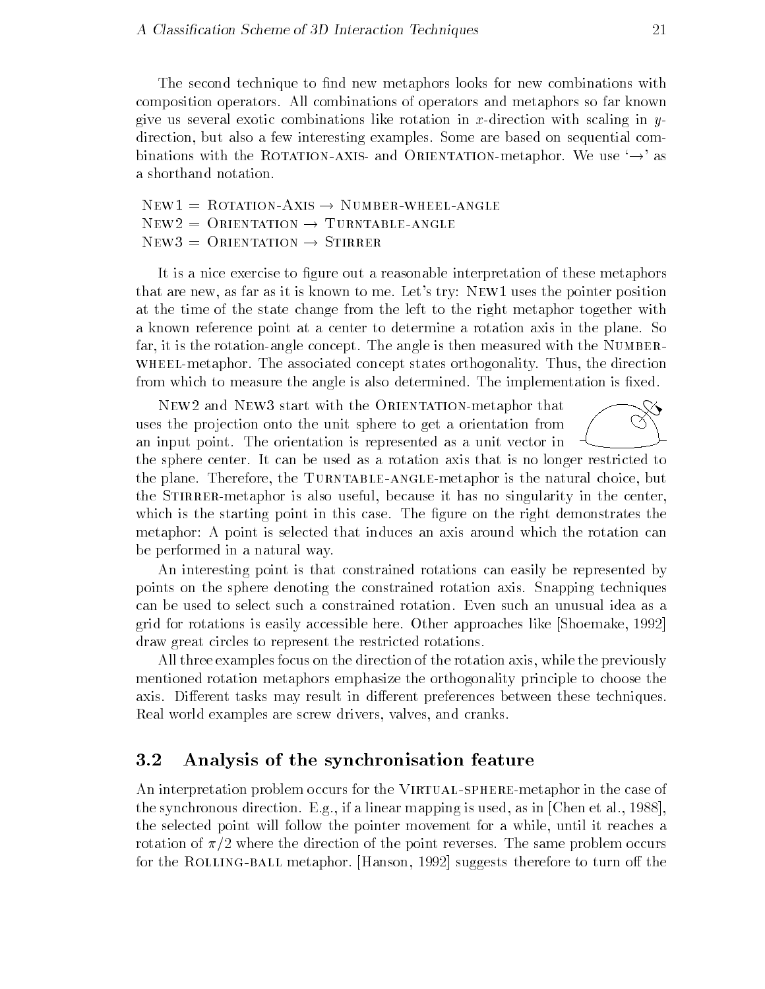The second technique to find new metaphors looks for new combinations with composition operators
 All combinations of operators and metaphors so far known give us several exotic combinations like rotation in x-direction with scaling in ydirection, but also a few interesting examples. Some are based on sequential combinations with the KOTATION-AXIS and ORIENTATION-metaphor. We use  $\rightarrow$  as a shorthand notation

 $NEW1 = KOTATION-AXIS \rightarrow NUMBER-WHELL-ANGLE$  $NEWZ = \bigcup RIENTATION \rightarrow \bot \text{URNTABLE-ANGLE}$  $New3 = ORIENTATION \rightarrow STIRRER$ 

It is a nice exercise to figure out a reasonable interpretation of these metaphors that are new as far as it is known to me
 Lets try New uses the pointer position at the time of the state change from the left to the right metaphor together with a known reference point at a center to determine a rotation axis in the plane
 So far, it is the rotation-angle concept. The angle is then measured with the NUMBER-WHEEL-metaphor. The associated concept states orthogonality. Thus, the direction from which to measure the angle is also determined. The implementation is fixed.

NEW2 and NEW3 start with the ORIENTATION-metaphor that uses the projection onto the unit sphere to get a orientation from an input point
 The orientation is represented as a unit vector in

the sphere center. It can be used as a rotation axis that is no longer restricted to the plane
 Therefore the Turntable-anglemetaphor is the natural choice but the STIRRER-metaphor is also useful, because it has no singularity in the center, which is the starting point in this case. The figure on the right demonstrates the metaphor A point is selected that induces an axis around which the rotation can be performed in a natural way

An interesting point is that constrained rotations can easily be represented by points on the sphere denoting the constrained rotation axis
 Snapping techniques can be used to select such a constrained rotation
 Even such an unusual idea as a grid for rotations is easily accessible here
 Other approaches like Shoemake draw great circles to represent the restricted rotations

All three examples focus on the direction of the rotation axis while the previously mentioned rotation metaphors emphasize the orthogonality principle to choose the axis. Different tasks may result in different preferences between these techniques. Real world examples are screw drivers, valves, and cranks.

#### $3.2$ Analysis of the synchronisation feature

An interpretation problem occurs for the Virtual-spheremetaphor in the case of the synchronous direction. E.g., if a linear mapping is used, as in  $[Chen et al., 1988]$ , the selected point will follow the pointer movement for a while, until it reaches a rotation of  $\pi/2$  where the direction of the point reverses. The same problem occurs for the Rolling-ball metaphor
 Hanson suggests therefore to turn o the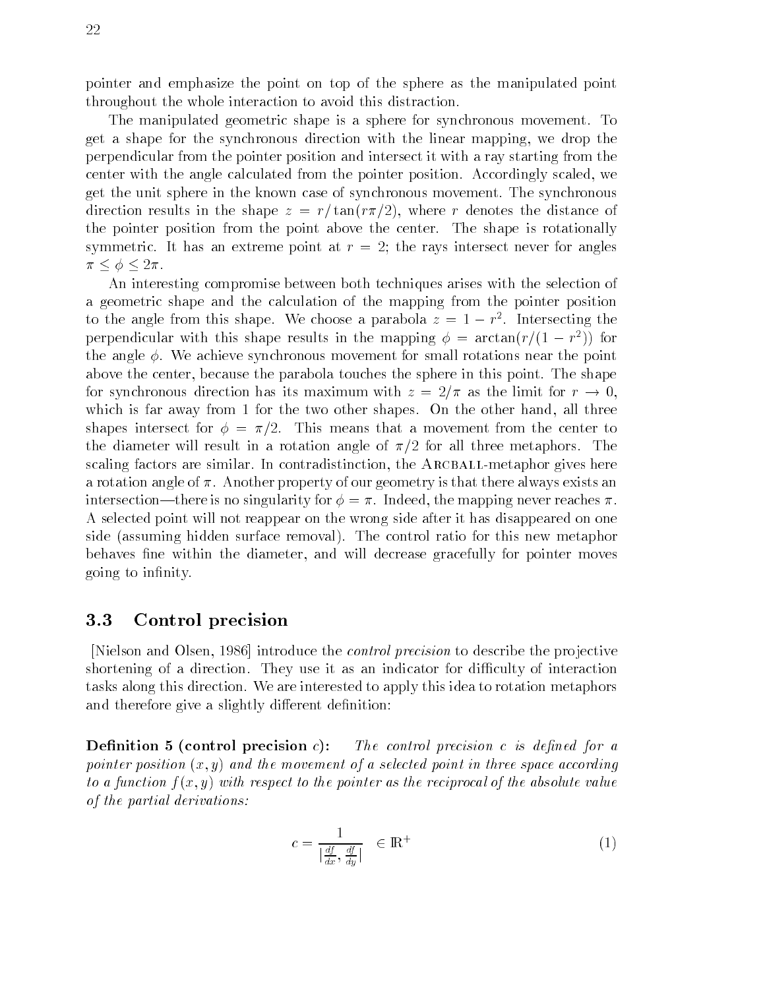pointer and emphasize the point on top of the sphere as the manipulated point throughout the whole interaction to avoid this distraction

The manipulated geometric shape is a sphere for synchronous movement
 To get a shape for the synchronous direction with the linear mapping we drop the perpendicular from the pointer position and intersect it with a ray starting from the center with the angle calculated from the pointer position. Accordingly scaled, we get the unit sphere in the known case of synchronous movement
 The synchronous direction results in the shape  $z = r/\tan(r\pi/2)$ , where r denotes the distance of the pointer position from the point above the center The shape is rotationally symmetric. It has an extreme point at  $r = 2$ ; the rays intersect never for angles  $\pi \leq \phi \leq 2\pi$ .

An interesting compromise between both techniques arises with the selection of a geometric shape and the calculation of the mapping from the pointer position to the angle from this shape. We choose a parabola  $z = 1 - r$  . Intersecting the perpendicular with this snape results in the mapping  $\phi = \arctan(r/(1 - r))$  for the angle  $\phi$ . We achieve synchronous movement for small rotations near the point above the center, because the parabola touches the sphere in this point. The shape for synchronous direction has its maximum with  $z = 2/\pi$  as the limit for  $r \to 0$ . which is far away from 1 for the two other shapes. On the other hand, all three shapes intersect for  $\phi = \pi/2$ . This means that a movement from the center to the diameter will result in a rotation angle of  $\pi/2$  for all three metaphors. The scaling factors are similar. In contradistinction, the ARCBALL-metaphor gives here a rotation angle of  $\pi$ . Another property of our geometry is that there always exists an there is no singularity for  $\alpha$  , and  $\alpha$  is no singularity for  $\alpha$  and  $\alpha$  is no singular  $\alpha$  . A selected point will not reappear on the wrong side after it has disappeared on one side (assuming hidden surface removal). The control ratio for this new metaphor behaves fine within the diameter, and will decrease gracefully for pointer moves going to infinity.

#### $3.3$ Control precision

Nielson and Olsen, 1986 introduce the *control precision* to describe the projective shortening of a direction. They use it as an indicator for difficulty of interaction tasks along this direction
 We are interested to apply this idea to rotation metaphors and therefore give a slightly different definition:

Demntuon o reontrol precision c for control precision c is acfined for a pointer position x- y and the movement of a selected point in three space according to a function first of a control to point to the pointer as the reciprocal of the absolute value  $\sim$ of the partial derivations

$$
c = \frac{1}{\left|\frac{df}{dx}, \frac{df}{dy}\right|} \in \mathbb{R}^+\tag{1}
$$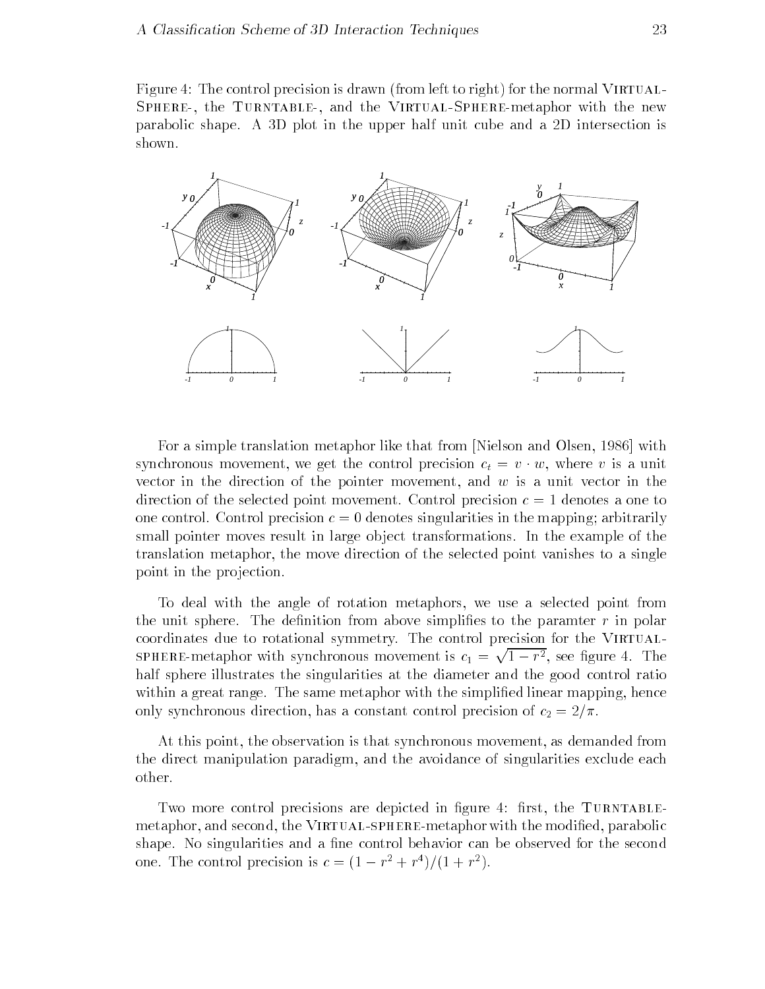Figure . The control precision is defined to right for the normal virtual-Sphere the Turntable and the Virtual-Spheremetaphor with the new parabolic shape A D plot in the upper half unit cube and a D intersection is shown



For a simple translation metaphor like that from [Nielson and Olsen, 1986] with synchronous movement, we get the control precision  $c_t = v \cdot w$ , where v is a unit vector in the direction of the pointer movement, and  $w$  is a unit vector in the direction of the selected point movement. Control precision  $c = 1$  denotes a one to one control. Control precision  $c = 0$  denotes singularities in the mapping; arbitrarily small pointer moves result in large ob ject transformations
 In the example of the translation metaphor, the move direction of the selected point vanishes to a single point in the projection.

To deal with the angle of rotation metaphors, we use a selected point from the unit sphere. The definition from above simplifies to the paramter  $r$  in polar coordinates due to rotational symmetry. The control precision for the VIRTUAL-SPHERE-metaphor with synchronous movement is  $c_1 = \sqrt{1-r^2}$ , see figure 4. The half sphere illustrates the singularities at the diameter and the good control ratio within a great range. The same metaphor with the simplified linear mapping, hence only synchronous direction, has a constant control precision of  $c_2 = 2/\pi$ .

At this point, the observation is that synchronous movement, as demanded from the direct manipulation paradigm, and the avoidance of singularities exclude each other

Two more control precisions are depicted in  $\mathcal{W}$ spectrum and second the Virtual-Virtual-Virtual-Virtual-Virtual-Virtual-Virtual-Virtual-Virtual-Virtual-Virtua shape. No singularities and a fine control behavior can be observed for the second one. The control precision is  $c = (1 - r^2 + r^2)/(1 + r^2)$ .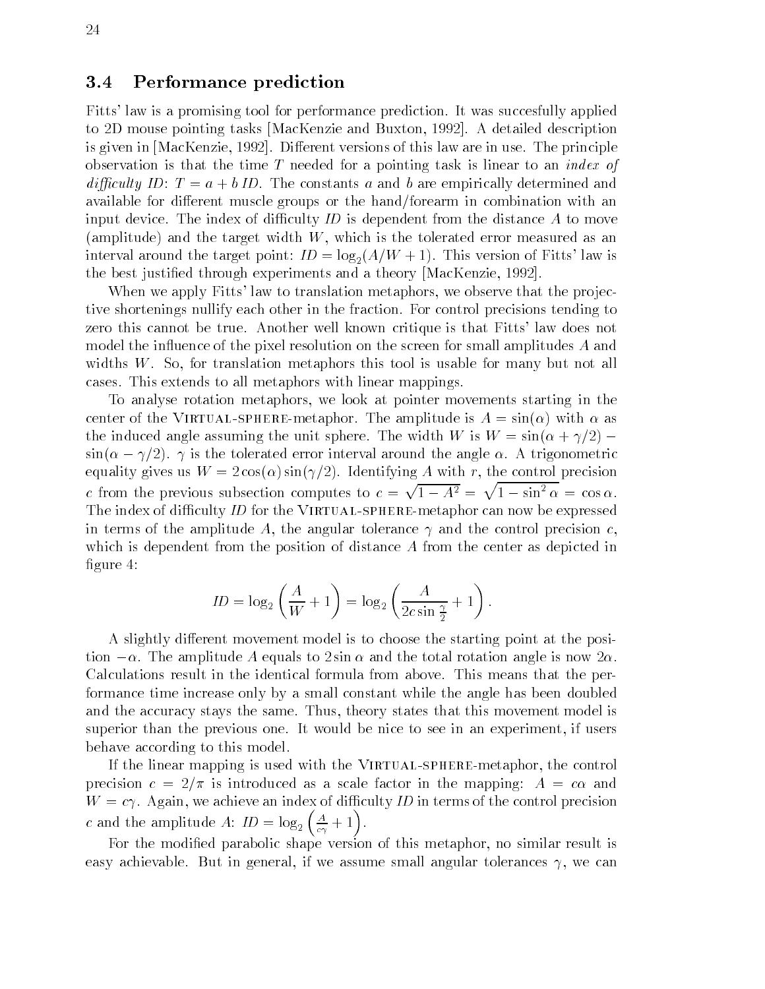#### $3.4$ Performance prediction

Fitts' law is a promising tool for performance prediction. It was succesfully applied to 2D mouse pointing tasks MacKenzie and Buxton, 1992. A detailed description is given in [MacKenzie, 1992]. Different versions of this law are in use. The principle observation is that the time T needed for a pointing task is linear to an *index of* diculty ID T a ! b ID
 The constants a and b are empirically determined and available for different muscle groups or the hand/forearm in combination with an input device. The index of difficulty  $ID$  is dependent from the distance  $A$  to move (amplitude) and the target width  $W$ , which is the tolerated error measured as an interval around the target point  $\mathbb{I}^{\mathcal{I}}$  . In  $\mathcal{I}^{\mathcal{I}}$  is a set of  $\mathcal{I}^{\mathcal{I}}$  is a set of  $\mathcal{I}^{\mathcal{I}}$ the best justified through experiments and a theory [MacKenzie, 1992].

When we apply Fitts' law to translation metaphors, we observe that the projective shortenings nullify each other in the fraction
 For control precisions tending to zero this cannot be true. Another well known critique is that Fitts' law does not model the influence of the pixel resolution on the screen for small amplitudes  $A$  and widths  $W$ . So, for translation metaphors this tool is usable for many but not all cases
 This extends to all metaphors with linear mappings

To analyse rotation metaphors we look at pointer movements starting in the center is the Virtual-Virtual-Virtual-Virtual-Virtual-Virtual-Virtual-Virtual-Virtual-Virtual-Virtual-Virtualthe induced angle assuming the unit sphere. The width W is  $W = \sin(\alpha + \gamma/2) =$  $\sin(\alpha - \gamma/2)$ . To the tolerated error interval around the angle  $\alpha$ . A trigonometric equality gives us W cost in cost in the control precision of the control precision in the control precisio c from the previous subsection computes to  $c = \sqrt{1 - A^2} = \sqrt{1 - \sin^2 \alpha} = \cos \alpha$ . The index of diculty ID for the Virtual-spheremetaphor can now be expressed in terms of the amplitude A, the angular tolerance  $\gamma$  and the control precision c, which is dependent from the position of distance A from the center as depicted in figure  $4$ :

$$
ID = \log_2\left(\frac{A}{W} + 1\right) = \log_2\left(\frac{A}{2c\sin\frac{\gamma}{2}} + 1\right).
$$

A slightly different movement model is to choose the starting point at the posi $t$  ton  $-\alpha$ . The amplitude A equals to 2 sin  $\alpha$  and the total rotation angle is now 2 $\alpha$ . Calculations result in the identical formula from above
 This means that the per formance time increase only by a small constant while the angle has been doubled and the accuracy stays the same. Thus, theory states that this movement model is superior than the previous one
 It would be nice to see in an experiment if users behave according to this model

If the linear mapping is used with the Virtual-spheremetaphor the control precision control control in the mapping as a scale factor in the mapping of the mapping of the mapping of the  $W = c\gamma$ . Again, we achieve an index of difficulty ID in terms of the control precision c and the amplitude A:  $ID = \log_2 \left( \frac{A}{c\gamma} + 1 \right)$  $\frac{A}{c\gamma}+1$ .

For the modified parabolic shape version of this metaphor, no similar result is easy achievable. But in general, if we assume small angular tolerances  $\gamma$ , we can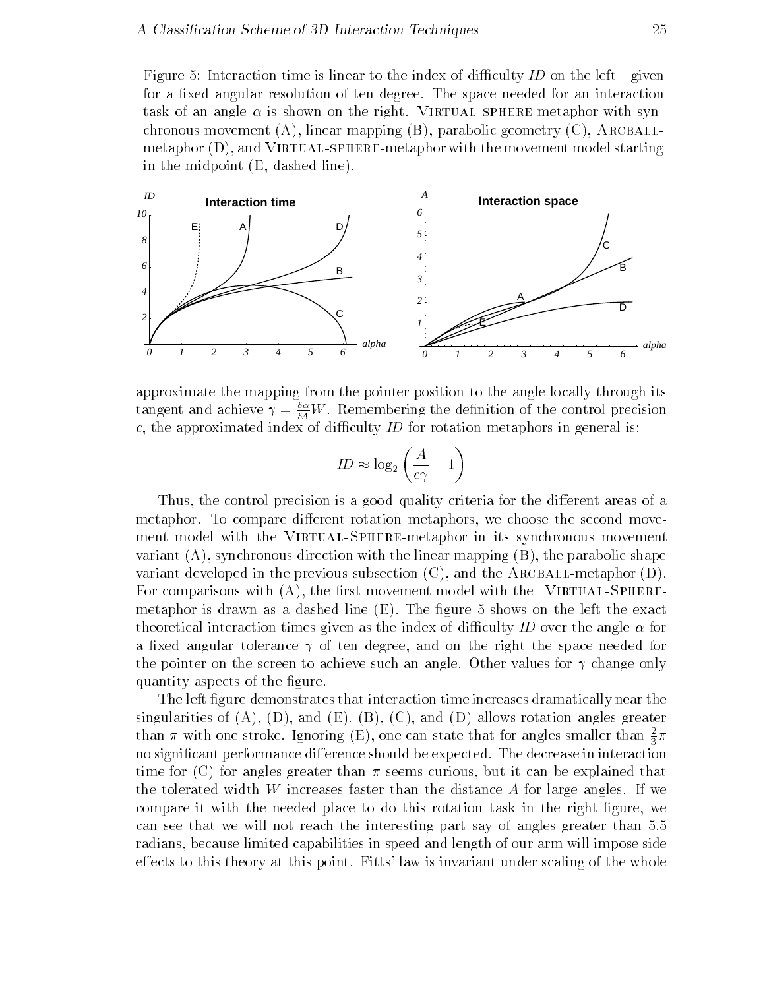Figure Interaction time is linear to the index of diculty ID on the left-given for a fixed angular resolution of ten degree. The space needed for an interaction task of an angle is shown on the right Virtual-spheremetaphor with syn chronous movement  $(A)$ , linear mapping  $(B)$ , parabolic geometry  $(C)$ , ARCBALLmetaphor (= ), with the case of models include with the movement model starting the movement  $\pi$ in the midpoint  $(E, dashed line)$ .



approximate the mapping from the pointer position to the angle locally through its tangent and achieve  $\gamma = \frac{z}{\delta A}W$  . Kemembering the definition of the control precision c, the approximated index of difficulty  $ID$  for rotation metaphors in general is:

$$
ID \approx \log_2\left(\frac{A}{c\gamma} + 1\right)
$$

Thus, the control precision is a good quality criteria for the different areas of a metaphor. To compare different rotation metaphors, we choose the second movement model with the Virtual-Spheremetaphor in its synchronous movement variant  $(A)$ , synchronous direction with the linear mapping  $(B)$ , the parabolic shape variant developed in the previous subsection  $(C)$ , and the ARCBALL-metaphor  $(D)$ . For comparisons with A the rst movement model with the Virtual-Sphere metaphor is drawn as a dashed line  $(E)$ . The figure 5 shows on the left the exact theoretical interaction times given as the index of diculty ID over the angle for a fixed angular tolerance  $\gamma$  of ten degree, and on the right the space needed for the pointer on the screen to achieve such an angle. Other values for  $\gamma$  change only quantity aspects of the figure.

The left figure demonstrates that interaction time increases dramatically near the singularities of  $(A)$ ,  $(D)$ , and  $(E)$ .  $(B)$ ,  $(C)$ , and  $(D)$  allows rotation angles greater than  $\pi$  with one stroke. Ignoring (E), one can state that for angles smaller than  $\frac{1}{3}\pi$ no significant performance difference should be expected. The decrease in interaction time for  $(C)$  for angles greater than  $\pi$  seems curious, but it can be explained that the tolerated width  $W$  increases faster than the distance  $A$  for large angles. If we compare it with the needed place to do this rotation task in the right figure, we can see that we will not reach the interesting part say of angles greater than radians because limited capabilities in speed and length of our arm will impose side effects to this theory at this point. Fitts' law is invariant under scaling of the whole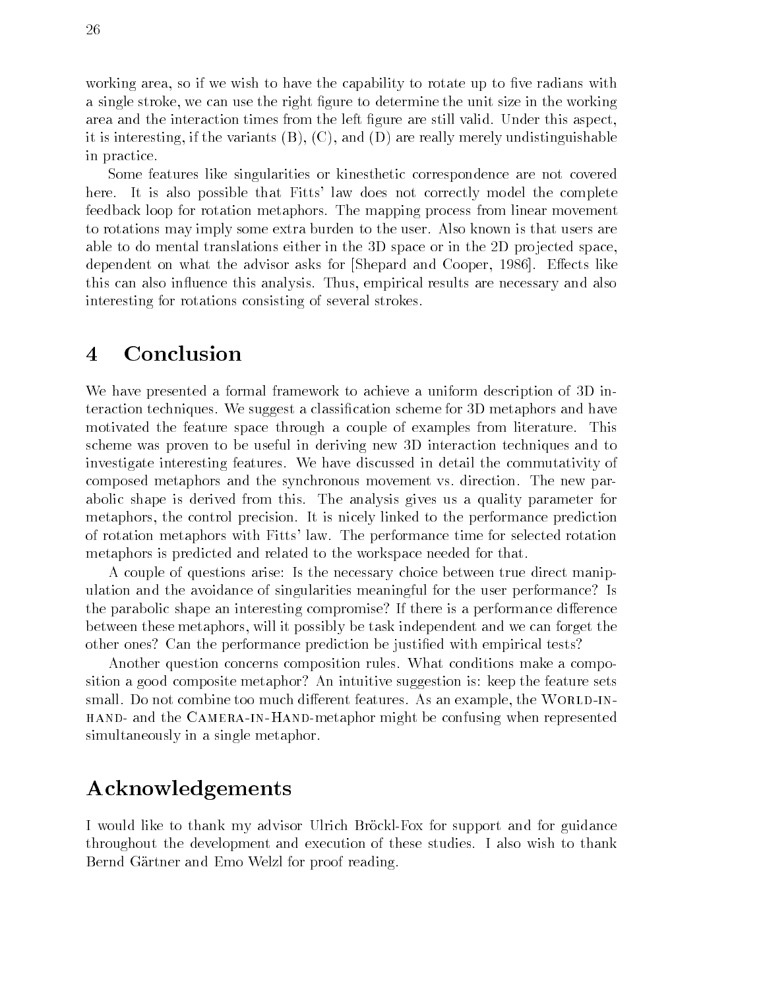working area, so if we wish to have the capability to rotate up to five radians with a single stroke, we can use the right figure to determine the unit size in the working area and the interaction times from the left figure are still valid. Under this aspect, it is interesting, if the variants  $(B)$ ,  $(C)$ , and  $(D)$  are really merely undistinguishable in practice

Some features like singularities or kinesthetic correspondence are not covered here. It is also possible that Fitts' law does not correctly model the complete feedback loop for rotation metaphors
 The mapping process from linear movement to rotations may imply some extra burden to the user
 Also known is that users are able to do mental translations either in the  $3D$  space or in the  $2D$  projected space, dependent on what the advisor asks for Shepard and Cooper, 1986. Effects like this can also influence this analysis. Thus, empirical results are necessary and also interesting for rotations consisting of several strokes

#### $\overline{\mathbf{4}}$ Conclusion

We have presented a formal framework to achieve a uniform description of 3D interaction techniques. We suggest a classification scheme for 3D metaphors and have motivated the feature space through a couple of examples from literature This scheme was proven to be useful in deriving new D interaction techniques and to investigate interesting features
 We have discussed in detail the commutativity of composed metaphors and the synchronous movement vs
 direction
 The new par abolic shape is derived from this The analysis gives us a quality parameter for metaphors the control precision
 It is nicely linked to the performance prediction of rotation metaphors with Fitts' law. The performance time for selected rotation metaphors is predicted and related to the workspace needed for that

A couple of questions arise Is the necessary choice between true direct manip ulation and the avoidance of singularities meaningful for the user performance? Is the parabolic shape an interesting compromise? If there is a performance difference between these metaphors will it possibly be task independent and we can forget the other ones? Can the performance prediction be justified with empirical tests?

Another question concerns composition rules. What conditions make a composition a good composite metaphor An intuitive suggestion is keep the feature sets small
 Do not combine too much dierent features
 As an example the World-inhand and the Camera-in-Handmetaphor might be confusing when represented simultaneously in a single metaphor.

### Acknowledgements

I would like to thank my advisor Ulrich Brockl-Fox for support and for guidance throughout the development and execution of these studies
 I also wish to thank Bernd Gartner and Emo Welzl for proof reading.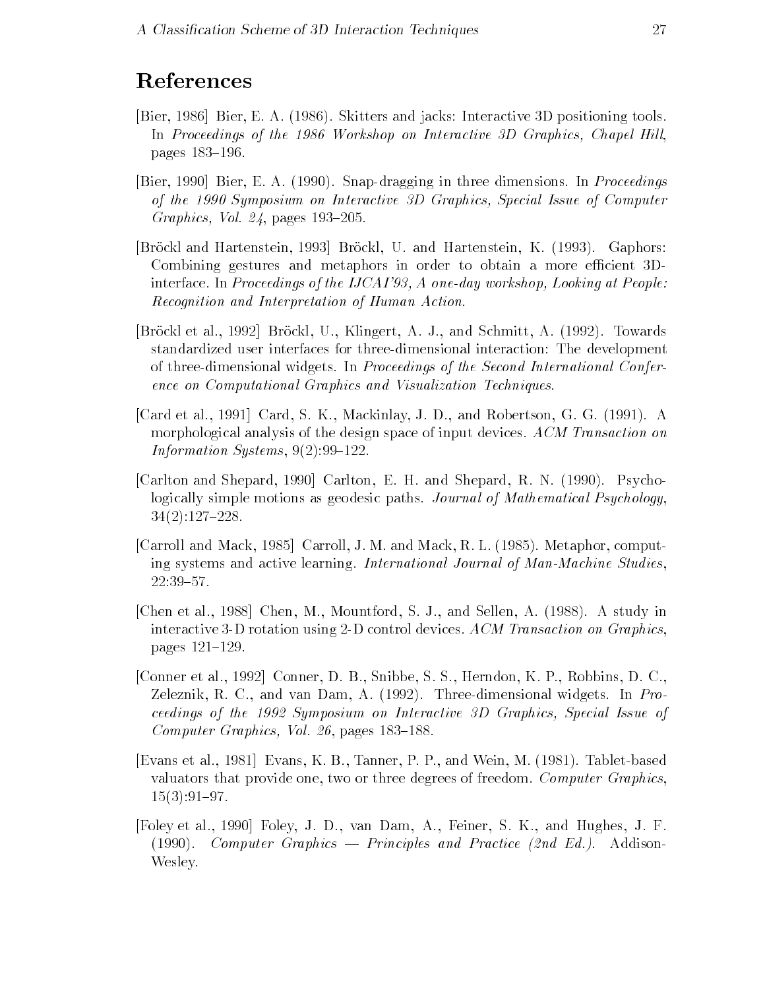# References

- Bier Bier E
 A

 Skitters and jacks Interactive D positioning tools In Proceedings of the 1986 Workshop on Interactive 3D Graphics, Chapel Hill, pages 183-196.
- [Bier, 1990] Bier, E. A. (1990). Snap-dragging in three dimensions. In *Proceedings* of the 1990 Symposium on Interactive 3D Graphics, Special Issue of Computer Graphics, Vol.  $24$ , pages 193-205.
- [Bröckl and Hartenstein, 1993] Bröckl, U. and Hartenstein, K. (1993). Gaphors: Combining gestures and metaphors in order to obtain a more efficient 3Dinterface. In Proceedings of the IJCAI'93, A one-day workshop, Looking at People: Recognition and Interpretation of Human Action
- [Bröckl et al., 1992] Bröckl, U., Klingert, A. J., and Schmitt, A. (1992). Towards standardized user interfaces for threedimensional interaction The development of threedimensional widgets
 In Proceedings of the Second International Confer ence on Computational Graphics and Visualization Techniques
- [Card et al., 1991] Card, S. K., Mackinlay, J. D., and Robertson, G. G. (1991). A morphological analysis of the design space of input devices ACM Transaction on Information Systems
- [Carlton and Shepard, 1990] Carlton, E. H. and Shepard, R. N. (1990). Psychologically simple motions as geodesic paths. Journal of Mathematical Psychology,
- [Carroll and Mack, 1985] Carroll, J. M. and Mack, R. L.  $(1985)$ . Metaphor, computing systems and active learning. International Journal of Man-Machine Studies,
- [Chen et al., 1988] Chen, M., Mountford, S. J., and Sellen, A. (1988). A study in interactive 3-D rotation using 2-D control devices. ACM Transaction on Graphics, pages 121-129.
- $[Connect \text{cl.} 1. 1992]$  Conner, D. B., Snibbe, S. S., Herndon, K. P., Robbins, D. C., Zeleznik, R. C., and van Dam, A.  $(1992)$ . Three-dimensional widgets. In *Pro*ceedings of the 1992 Symposium on Interactive 3D Graphics, Special Issue of Computer Graphics, Vol. 26, pages  $183-188$ .
- [Evans et al., 1981] Evans, K. B., Tanner, P. P., and Wein, M. (1981). Tablet-based valuators that provide one, two or three degrees of freedom. Computer Graphics, \_ \_ \_ \_ \_ \_ \_ \_ \_ \_ . .
- [Foley et al., 1990] Foley, J. D., van Dam, A., Feiner, S. K., and Hughes, J. F. Computer Graphics Principles and Practice -nd Ed Addison Wesley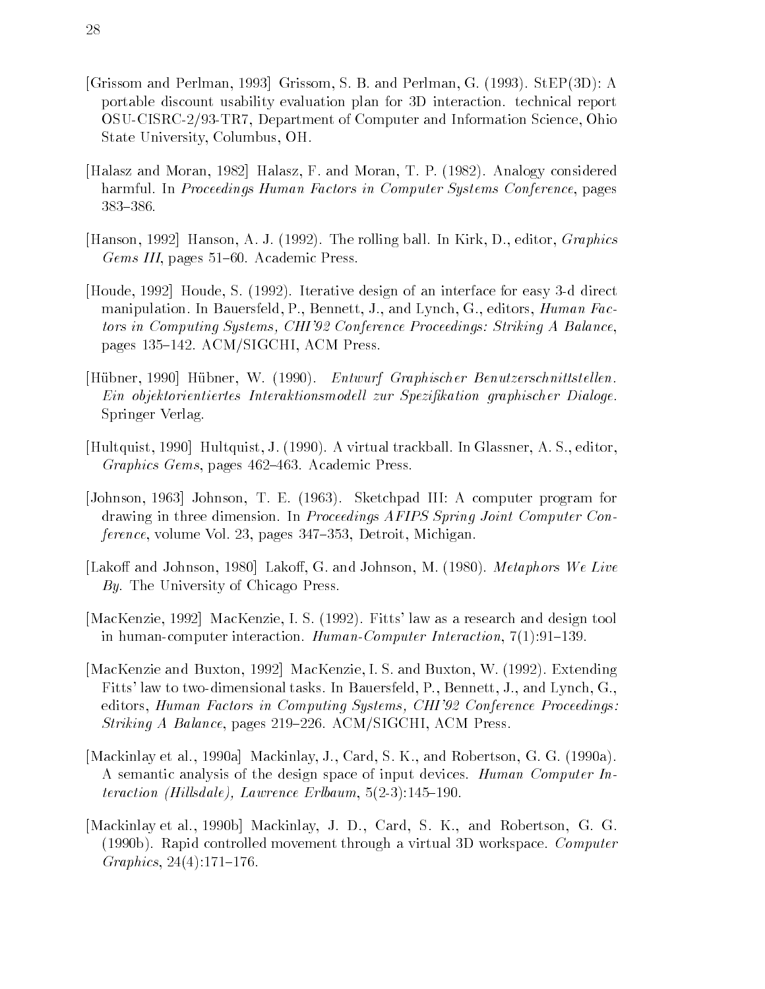- $\Gamma$  . The periodic step  $\Gamma$  and  $\Gamma$  and  $\Gamma$  and  $\Gamma$  and  $\Gamma$  and  $\Gamma$  and  $\Gamma$  and  $\Gamma$  and  $\Gamma$  and  $\Gamma$ portable discount usability evaluation plan for D interaction
 technical report OSU-CISRC-2/93-TR7, Department of Computer and Information Science, Ohio State University, Columbus, OH.
- [Halasz and Moran, 1982] Halasz, F. and Moran, T. P. (1982). Analogy considered harmful. In Proceedings Human Factors in Computer Systems Conference, pages  $383 - 386.$
- [Hanson, 1992] Hanson, A. J. (1992). The rolling ball. In Kirk, D., editor, *Graphics* Gems III, pages  $51-60$ . Academic Press.
- Houde, 1992 Houde, S. (1992). Iterative design of an interface for easy 3-d direct manipulation. In Bauersfeld, P., Bennett, J., and Lynch, G., editors, *Human Fac*tors in Computing Systems, CHI'92 Conference Proceedings: Striking A Balance, pages 135–142. ACM/SIGCHI, ACM Press.
- Hübner, 1990 Hübner, W. (1990). Entwurf Graphischer Benutzerschnittstellen. Ein objektorientiertes Interaktionsmodel l zur Spezi kation graphischer Dialoge Springer Verlag
- [Hultquist, 1990] Hultquist, J. (1990). A virtual trackball. In Glassner, A. S., editor, Graphics Gems, pages 462–463. Academic Press.
- Johnson  Johnson T
 E
  Sketchpad III A computer program for drawing in three dimension. In Proceedings AFIPS Spring Joint Computer Con $ference$ , volume Vol. 23, pages 347–353, Detroit, Michigan.
- [Lakoff and Johnson, 1980] Lakoff, G. and Johnson, M. (1980). *Metaphors We Live* By. The University of Chicago Press.
- [MacKenzie, 1992] MacKenzie, I. S. (1992). Fitts' law as a research and design tool in humancomputer interaction HumanComputer Interaction
- [MacKenzie and Buxton, 1992] MacKenzie, I.S. and Buxton, W. (1992). Extending Fitts' law to two-dimensional tasks. In Bauersfeld, P., Bennett, J., and Lynch, G., editors, Human Factors in Computing Systems, CHI'92 Conference Proceedings:  $Striking A Balance$ , pages 219–226. ACM/SIGCHI, ACM Press.
- $[Mackinlay et al., 1990a]$  Mackinlay, J., Card, S. K., and Robertson, G. G.  $(1990a)$ . A semantic analysis of the design space of input devices. Human Computer Interaction - Hil lsdale Lawrence Erlbaum - Lawrence Erlbaum - Lawrence Erlbaum - Lawrence Erlbaum - Lawrence Er
- [Mackinlay et al., 1990b] Mackinlay, J. D., Card, S. K., and Robertson, G. G.  $(1990b)$ . Rapid controlled movement through a virtual 3D workspace. *Computer*  $\blacksquare$  Graphics in the contract of the contract of the contract of the contract of the contract of the contract of the contract of the contract of the contract of the contract of the contract of the contract of the contra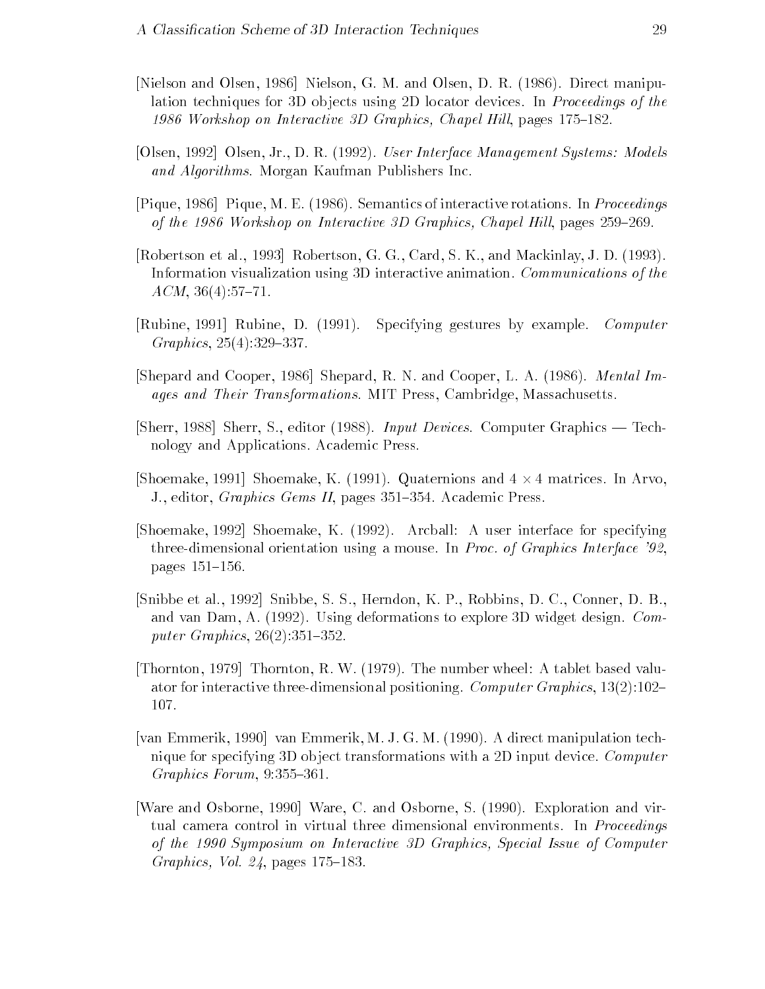- [Nielson and Olsen, 1986] Nielson, G. M. and Olsen, D. R. (1986). Direct manipulation techniques for 3D objects using 2D locator devices. In Proceedings of the 1986 Workshop on Interactive 3D Graphics, Chapel Hill, pages 175–182.
- [Olsen, 1992] Olsen, Jr., D. R. (1992). User Interface Management Systems: Models and Algorithms. Morgan Kaufman Publishers Inc.
- [Pique, 1986] Pique, M. E. (1986). Semantics of interactive rotations. In Proceedings of the 1986 Workshop on Interactive 3D Graphics, Chapel Hill, pages 259–269.
- [Robertson et al., 1993] Robertson, G. G., Card, S. K., and Mackinlay, J. D. (1993). Information visualization using 3D interactive animation. Communications of the ACM
- Rubine, 1991 Rubine, D. (1991). Specifying gestures by example. Computer  $G$ raphics and  $G$  and  $G$  and  $G$  and  $G$  and  $G$  and  $G$  and  $G$  and  $G$  and  $G$  and  $G$  and  $G$  and  $G$  and  $G$  and  $G$  and  $G$  and  $G$  and  $G$  and  $G$  and  $G$  and  $G$  and  $G$  and  $G$  and  $G$  and  $G$  and  $G$  and  $G$  an
- [Shepard and Cooper, 1986] Shepard, R. N. and Cooper, L. A. (1986). *Mental Im*ages and Their Transformations. MIT Press, Cambridge, Massachusetts.
- sherr Sherr Sherr Sherr Sherr Sherr Sherr Sherr Sherr Sherr Sherr Sherr Sherr Sherr Sherr Sherr Sherr Sherr Sh nology and Applications
 Academic Press
- $\beta$ hoemake, 1991 | Shoemake, K. (1991). Quaternions and  $4\times 4$  matrices. In Arvo, J., editor, *Graphics Gems II*, pages 351–354. Academic Press.
- $S$  is the statistical continues for  $S$  interface for specific forms  $S$  interface for specific  $\mathcal{A}$ three-dimensional orientation using a mouse. In *Proc. of Graphics Interface '92*, pages 151–156.
- [Snibbe et al., 1992] Snibbe, S. S., Herndon, K. P., Robbins, D. C., Conner, D. B. and van Dam, A.  $(1992)$ . Using deformations to explore 3D widget design. Computer Graphics
- , which is not a tablet based value of the number wheels are not to control the second company of the second s ator for interactive threedimensional positioning Computer Graphics  107.
- [van Emmerik, 1990] van Emmerik, M. J. G. M. (1990). A direct manipulation technique for specifying 3D object transformations with a 2D input device. Computer Graphics Forum
- [Ware and Osborne, 1990] Ware, C. and Osborne, S. (1990). Exploration and virtual camera control in virtual three dimensional environments. In *Proceedings* of the 1990 Symposium on Interactive 3D Graphics, Special Issue of Computer Graphics, Vol.  $24$ , pages 175–183.